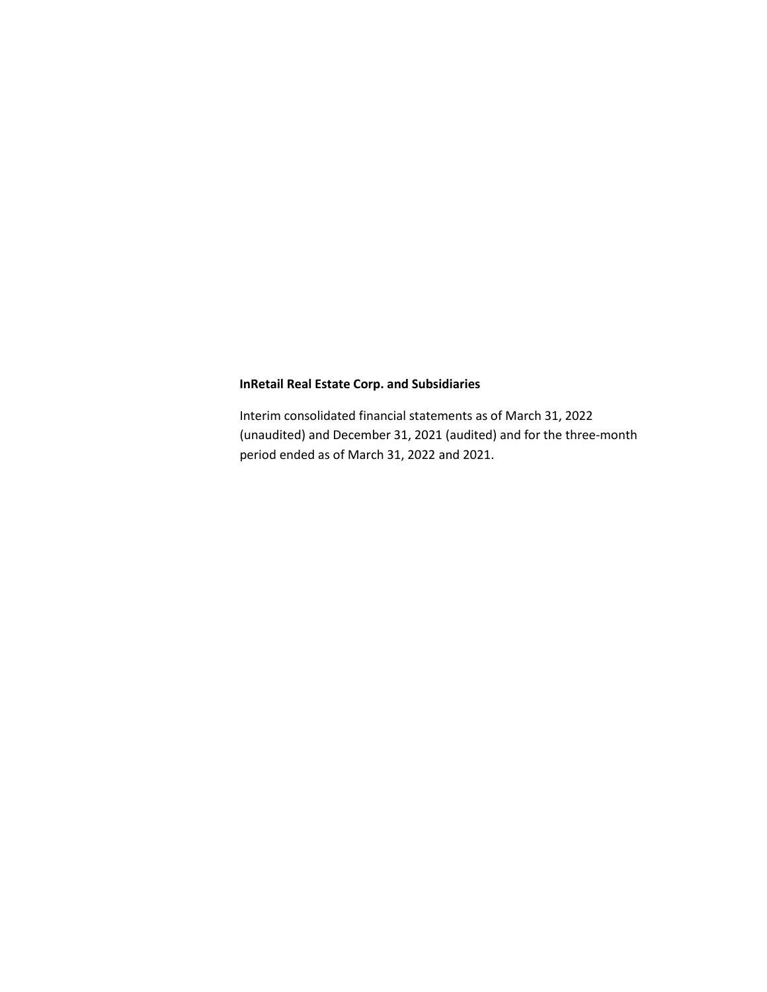Interim consolidated financial statements as of March 31, 2022 (unaudited) and December 31, 2021 (audited) and for the three-month period ended as of March 31, 2022 and 2021.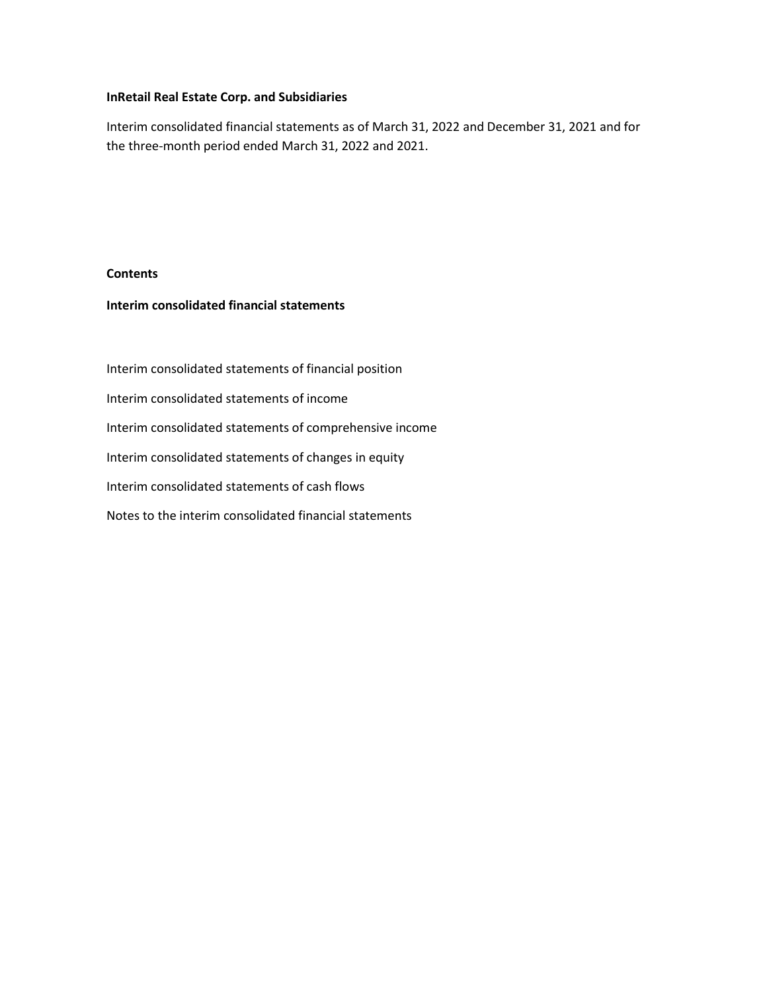Interim consolidated financial statements as of March 31, 2022 and December 31, 2021 and for the three-month period ended March 31, 2022 and 2021.

# **Contents**

# **Interim consolidated financial statements**

Interim consolidated statements of financial position Interim consolidated statements of income Interim consolidated statements of comprehensive income Interim consolidated statements of changes in equity Interim consolidated statements of cash flows Notes to the interim consolidated financial statements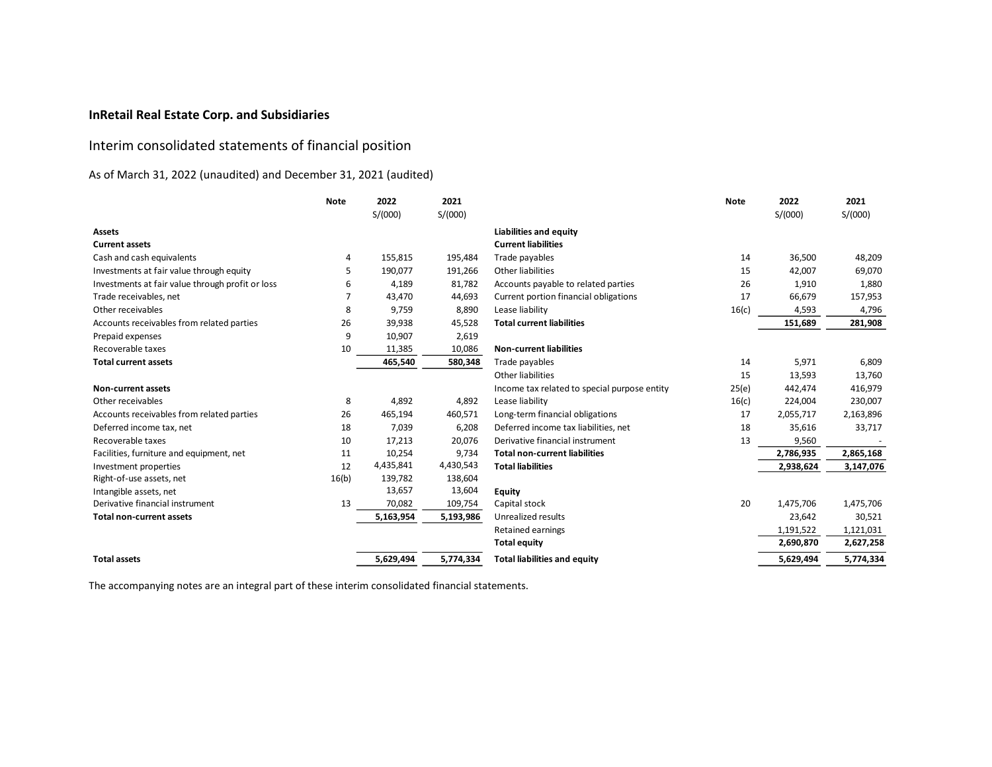# Interim consolidated statements of financial position

# As of March 31, 2022 (unaudited) and December 31, 2021 (audited)

|                                                  | <b>Note</b> | 2022      | 2021      |                                              | <b>Note</b> | 2022      | 2021      |
|--------------------------------------------------|-------------|-----------|-----------|----------------------------------------------|-------------|-----------|-----------|
|                                                  |             | S/(000)   | S/(000)   |                                              |             | S/(000)   | S/(000)   |
| <b>Assets</b>                                    |             |           |           | <b>Liabilities and equity</b>                |             |           |           |
| <b>Current assets</b>                            |             |           |           | <b>Current liabilities</b>                   |             |           |           |
| Cash and cash equivalents                        | 4           | 155,815   | 195,484   | Trade payables                               | 14          | 36,500    | 48,209    |
| Investments at fair value through equity         | 5           | 190,077   | 191,266   | Other liabilities                            | 15          | 42,007    | 69,070    |
| Investments at fair value through profit or loss | 6           | 4,189     | 81,782    | Accounts payable to related parties          | 26          | 1,910     | 1,880     |
| Trade receivables, net                           | 7           | 43,470    | 44,693    | Current portion financial obligations        | 17          | 66,679    | 157,953   |
| Other receivables                                | 8           | 9,759     | 8,890     | Lease liability                              | 16(c)       | 4,593     | 4,796     |
| Accounts receivables from related parties        | 26          | 39,938    | 45,528    | <b>Total current liabilities</b>             |             | 151,689   | 281,908   |
| Prepaid expenses                                 | 9           | 10,907    | 2,619     |                                              |             |           |           |
| Recoverable taxes                                | 10          | 11,385    | 10,086    | <b>Non-current liabilities</b>               |             |           |           |
| <b>Total current assets</b>                      |             | 465,540   | 580,348   | Trade payables                               | 14          | 5,971     | 6,809     |
|                                                  |             |           |           | Other liabilities                            | 15          | 13,593    | 13,760    |
| Non-current assets                               |             |           |           | Income tax related to special purpose entity | 25(e)       | 442,474   | 416,979   |
| Other receivables                                | 8           | 4,892     | 4,892     | Lease liability                              | 16(c)       | 224,004   | 230,007   |
| Accounts receivables from related parties        | 26          | 465,194   | 460,571   | Long-term financial obligations              | 17          | 2,055,717 | 2,163,896 |
| Deferred income tax, net                         | 18          | 7,039     | 6,208     | Deferred income tax liabilities, net         | 18          | 35,616    | 33,717    |
| Recoverable taxes                                | 10          | 17,213    | 20,076    | Derivative financial instrument              | 13          | 9,560     |           |
| Facilities, furniture and equipment, net         | 11          | 10,254    | 9,734     | <b>Total non-current liabilities</b>         |             | 2,786,935 | 2,865,168 |
| Investment properties                            | 12          | 4,435,841 | 4,430,543 | <b>Total liabilities</b>                     |             | 2,938,624 | 3,147,076 |
| Right-of-use assets, net                         | 16(b)       | 139,782   | 138,604   |                                              |             |           |           |
| Intangible assets, net                           |             | 13,657    | 13,604    | <b>Equity</b>                                |             |           |           |
| Derivative financial instrument                  | 13          | 70,082    | 109,754   | Capital stock                                | 20          | 1,475,706 | 1,475,706 |
| <b>Total non-current assets</b>                  |             | 5,163,954 | 5,193,986 | Unrealized results                           |             | 23,642    | 30,521    |
|                                                  |             |           |           | <b>Retained earnings</b>                     |             | 1,191,522 | 1,121,031 |
|                                                  |             |           |           | <b>Total equity</b>                          |             | 2,690,870 | 2,627,258 |
| <b>Total assets</b>                              |             | 5,629,494 | 5,774,334 | <b>Total liabilities and equity</b>          |             | 5,629,494 | 5,774,334 |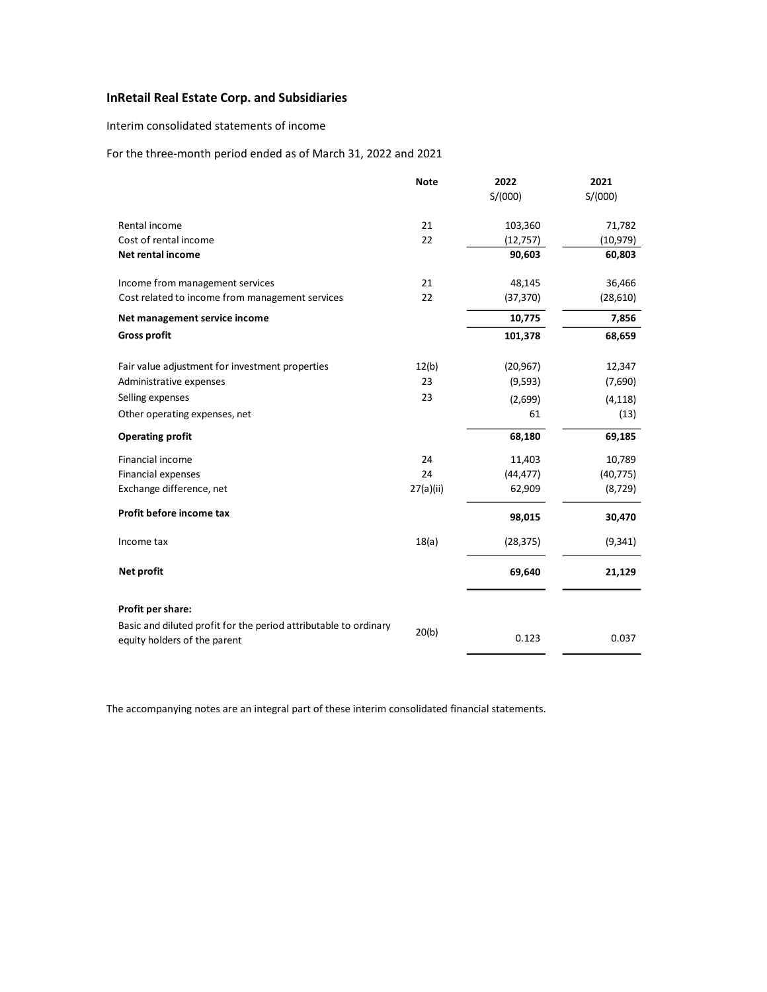Interim consolidated statements of income

# For the three-month period ended as of March 31, 2022 and 2021

|                                                                                                  | <b>Note</b> | 2022      | 2021      |
|--------------------------------------------------------------------------------------------------|-------------|-----------|-----------|
|                                                                                                  |             | S/(000)   | S/(000)   |
| Rental income                                                                                    | 21          | 103,360   | 71,782    |
| Cost of rental income                                                                            | 22          | (12, 757) | (10, 979) |
| Net rental income                                                                                |             | 90,603    | 60,803    |
| Income from management services                                                                  | 21          | 48,145    | 36,466    |
| Cost related to income from management services                                                  | 22          | (37, 370) | (28, 610) |
| Net management service income                                                                    |             | 10,775    | 7,856     |
| <b>Gross profit</b>                                                                              |             | 101,378   | 68,659    |
| Fair value adjustment for investment properties                                                  | 12(b)       | (20, 967) | 12,347    |
| Administrative expenses                                                                          | 23          | (9, 593)  | (7,690)   |
| Selling expenses                                                                                 | 23          | (2,699)   | (4, 118)  |
| Other operating expenses, net                                                                    |             | 61        | (13)      |
| <b>Operating profit</b>                                                                          |             | 68,180    | 69,185    |
| Financial income                                                                                 | 24          | 11,403    | 10,789    |
| Financial expenses                                                                               | 24          | (44, 477) | (40, 775) |
| Exchange difference, net                                                                         | 27(a)(ii)   | 62,909    | (8, 729)  |
| Profit before income tax                                                                         |             | 98,015    | 30,470    |
| Income tax                                                                                       | 18(a)       | (28, 375) | (9, 341)  |
| Net profit                                                                                       |             | 69,640    | 21,129    |
| Profit per share:                                                                                |             |           |           |
| Basic and diluted profit for the period attributable to ordinary<br>equity holders of the parent | 20(b)       | 0.123     | 0.037     |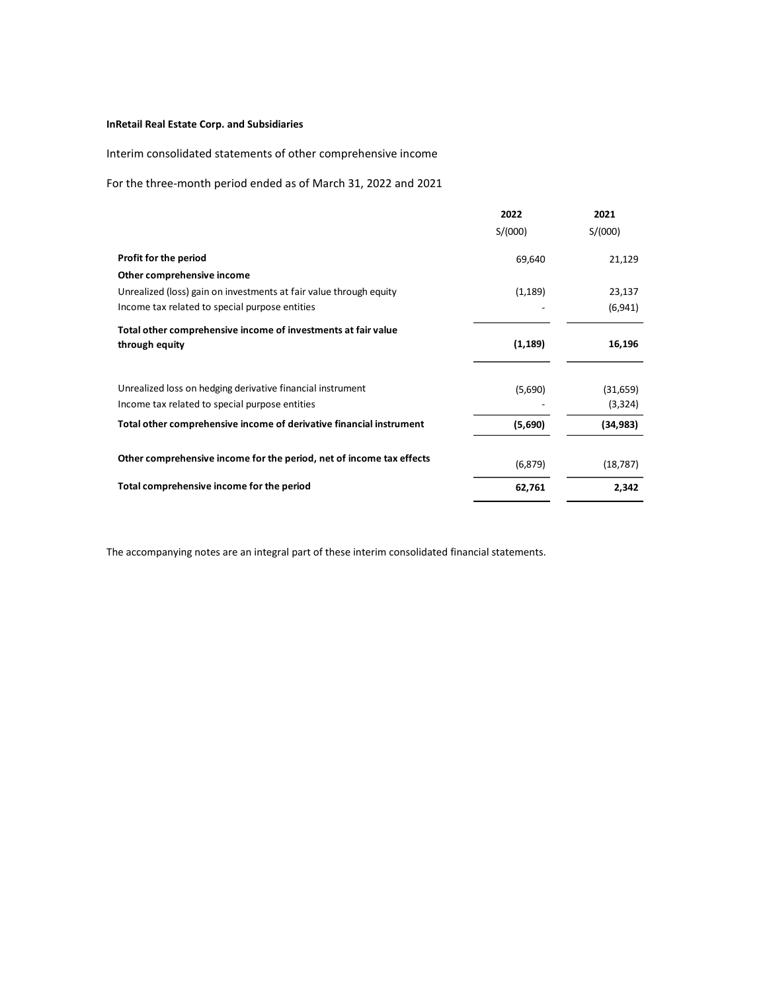Interim consolidated statements of other comprehensive income

For the three-month period ended as of March 31, 2022 and 2021

|                                                                      | 2022<br>S/(000) | 2021<br>S/(000) |
|----------------------------------------------------------------------|-----------------|-----------------|
| Profit for the period                                                | 69,640          | 21,129          |
| Other comprehensive income                                           |                 |                 |
| Unrealized (loss) gain on investments at fair value through equity   | (1, 189)        | 23,137          |
| Income tax related to special purpose entities                       |                 | (6,941)         |
| Total other comprehensive income of investments at fair value        |                 |                 |
| through equity                                                       | (1, 189)        | 16,196          |
|                                                                      |                 |                 |
| Unrealized loss on hedging derivative financial instrument           | (5,690)         | (31, 659)       |
| Income tax related to special purpose entities                       |                 | (3,324)         |
| Total other comprehensive income of derivative financial instrument  | (5,690)         | (34, 983)       |
|                                                                      |                 |                 |
| Other comprehensive income for the period, net of income tax effects | (6, 879)        | (18, 787)       |
| Total comprehensive income for the period                            | 62,761          | 2,342           |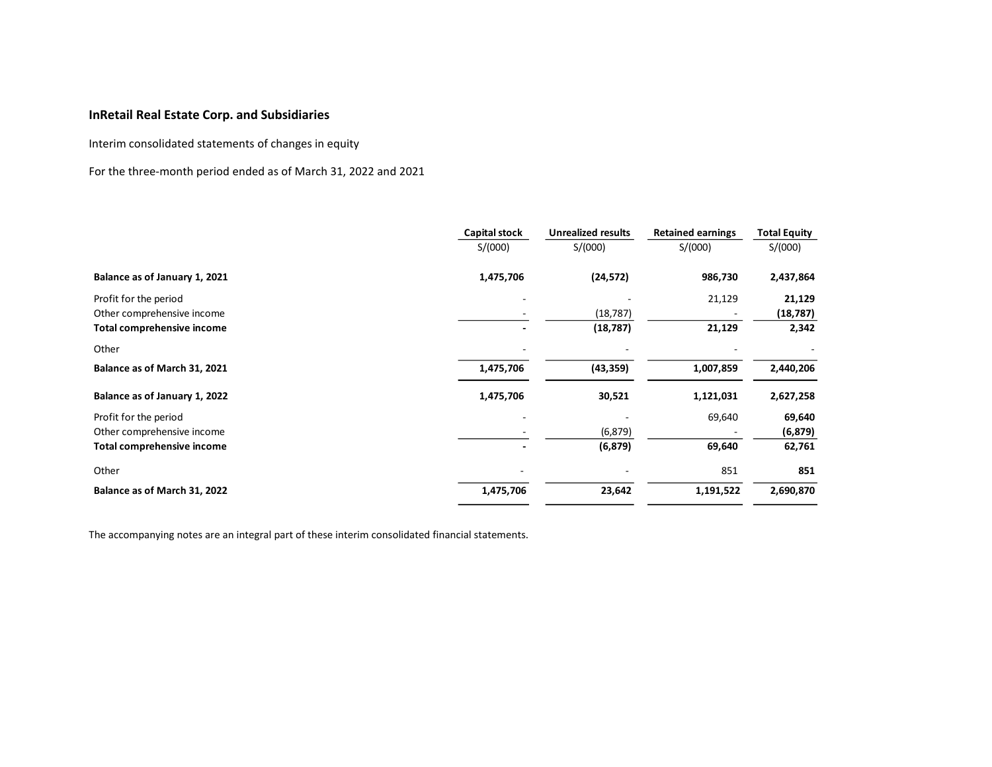Interim consolidated statements of changes in equity

For the three-month period ended as of March 31, 2022 and 2021

|                                   | <b>Capital stock</b> | <b>Unrealized results</b> | <b>Retained earnings</b> | <b>Total Equity</b> |
|-----------------------------------|----------------------|---------------------------|--------------------------|---------------------|
|                                   | S/(000)              | S/(000)                   | S/(000)                  | S/(000)             |
| Balance as of January 1, 2021     | 1,475,706            | (24, 572)                 | 986,730                  | 2,437,864           |
| Profit for the period             |                      |                           | 21,129                   | 21,129              |
| Other comprehensive income        |                      | (18, 787)                 |                          | (18, 787)           |
| <b>Total comprehensive income</b> |                      | (18, 787)                 | 21,129                   | 2,342               |
| Other                             |                      |                           |                          |                     |
| Balance as of March 31, 2021      | 1,475,706            | (43, 359)                 | 1,007,859                | 2,440,206           |
| Balance as of January 1, 2022     | 1,475,706            | 30,521                    | 1,121,031                | 2,627,258           |
| Profit for the period             |                      |                           | 69,640                   | 69,640              |
| Other comprehensive income        |                      | (6, 879)                  |                          | (6, 879)            |
| <b>Total comprehensive income</b> |                      | (6, 879)                  | 69,640                   | 62,761              |
| Other                             |                      |                           | 851                      | 851                 |
| Balance as of March 31, 2022      | 1,475,706            | 23,642                    | 1,191,522                | 2,690,870           |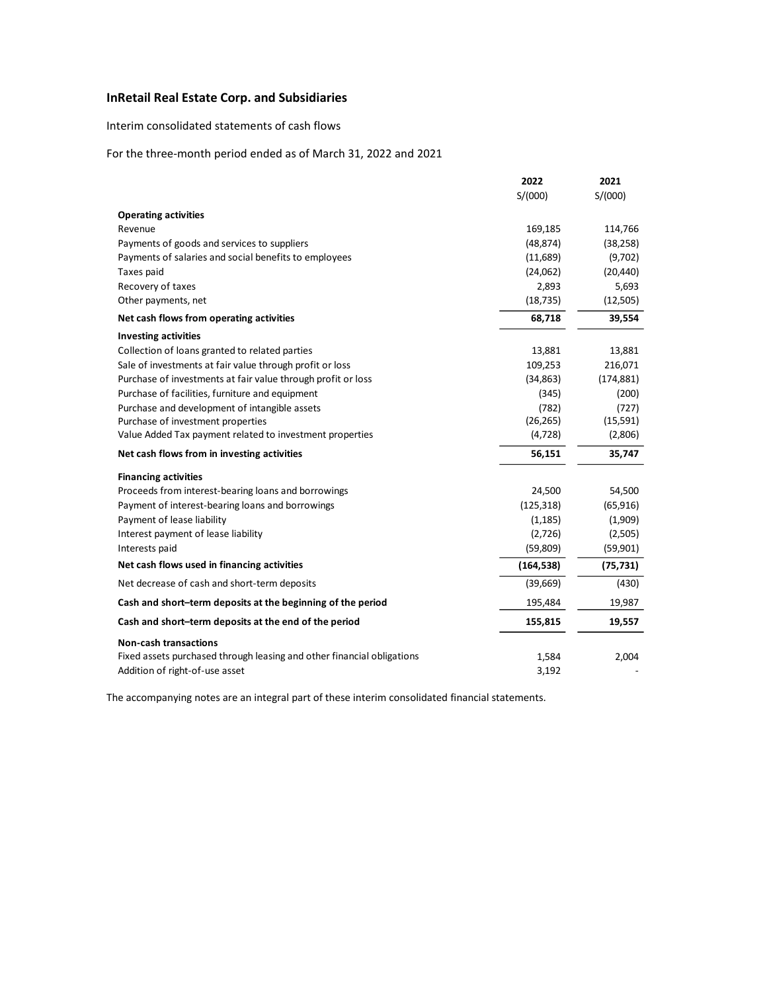# Interim consolidated statements of cash flows

# For the three-month period ended as of March 31, 2022 and 2021

|                                                                        | 2022       | 2021       |
|------------------------------------------------------------------------|------------|------------|
|                                                                        | S/(000)    | S/(000)    |
| <b>Operating activities</b>                                            |            |            |
| Revenue                                                                | 169,185    | 114,766    |
| Payments of goods and services to suppliers                            | (48, 874)  | (38, 258)  |
| Payments of salaries and social benefits to employees                  | (11,689)   | (9,702)    |
| Taxes paid                                                             | (24,062)   | (20, 440)  |
| Recovery of taxes                                                      | 2,893      | 5,693      |
| Other payments, net                                                    | (18, 735)  | (12,505)   |
| Net cash flows from operating activities                               | 68,718     | 39,554     |
| <b>Investing activities</b>                                            |            |            |
| Collection of loans granted to related parties                         | 13,881     | 13,881     |
| Sale of investments at fair value through profit or loss               | 109,253    | 216,071    |
| Purchase of investments at fair value through profit or loss           | (34, 863)  | (174, 881) |
| Purchase of facilities, furniture and equipment                        | (345)      | (200)      |
| Purchase and development of intangible assets                          | (782)      | (727)      |
| Purchase of investment properties                                      | (26, 265)  | (15, 591)  |
| Value Added Tax payment related to investment properties               | (4, 728)   | (2,806)    |
| Net cash flows from in investing activities                            | 56,151     | 35,747     |
| <b>Financing activities</b>                                            |            |            |
| Proceeds from interest-bearing loans and borrowings                    | 24,500     | 54,500     |
| Payment of interest-bearing loans and borrowings                       | (125, 318) | (65, 916)  |
| Payment of lease liability                                             | (1, 185)   | (1,909)    |
| Interest payment of lease liability                                    | (2,726)    | (2,505)    |
| Interests paid                                                         | (59, 809)  | (59, 901)  |
| Net cash flows used in financing activities                            | (164, 538) | (75, 731)  |
| Net decrease of cash and short-term deposits                           | (39,669)   | (430)      |
| Cash and short-term deposits at the beginning of the period            | 195,484    | 19,987     |
| Cash and short-term deposits at the end of the period                  | 155,815    | 19,557     |
| <b>Non-cash transactions</b>                                           |            |            |
| Fixed assets purchased through leasing and other financial obligations | 1,584      | 2,004      |
| Addition of right-of-use asset                                         | 3,192      |            |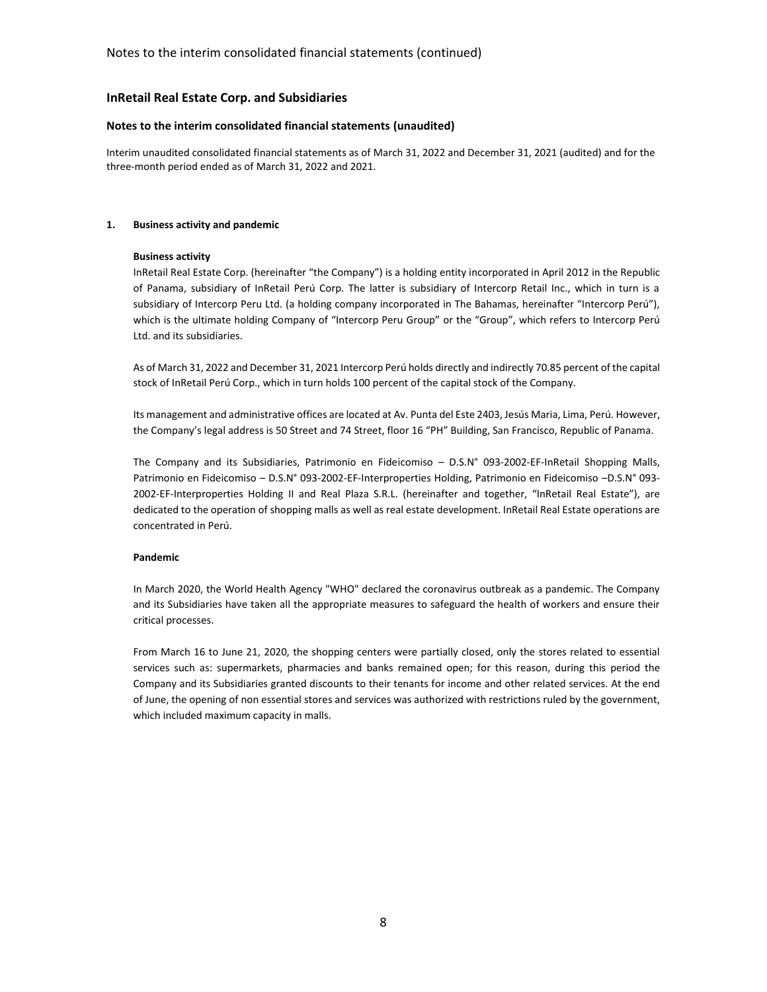## **Notes to the interim consolidated financial statements (unaudited)**

Interim unaudited consolidated financial statements as of March 31, 2022 and December 31, 2021 (audited) and for the three-month period ended as of March 31, 2022 and 2021.

## **1. Business activity and pandemic**

## **Business activity**

InRetail Real Estate Corp. (hereinafter "the Company") is a holding entity incorporated in April 2012 in the Republic of Panama, subsidiary of InRetail Perú Corp. The latter is subsidiary of Intercorp Retail Inc., which in turn is a subsidiary of Intercorp Peru Ltd. (a holding company incorporated in The Bahamas, hereinafter "Intercorp Perú"), which is the ultimate holding Company of "Intercorp Peru Group" or the "Group", which refers to Intercorp Perú Ltd. and its subsidiaries.

As of March 31, 2022 and December 31, 2021 Intercorp Perú holds directly and indirectly 70.85 percent of the capital stock of InRetail Perú Corp., which in turn holds 100 percent of the capital stock of the Company.

Its management and administrative offices are located at Av. Punta del Este 2403, Jesús Maria, Lima, Perú. However, the Company's legal address is 50 Street and 74 Street, floor 16 "PH" Building, San Francisco, Republic of Panama.

The Company and its Subsidiaries, Patrimonio en Fideicomiso – D.S.N° 093-2002-EF-InRetail Shopping Malls, Patrimonio en Fideicomiso – D.S.N° 093-2002-EF-Interproperties Holding, Patrimonio en Fideicomiso –D.S.N° 093- 2002-EF-Interproperties Holding II and Real Plaza S.R.L. (hereinafter and together, "InRetail Real Estate"), are dedicated to the operation of shopping malls as well as real estate development. InRetail Real Estate operations are concentrated in Perú.

#### **Pandemic**

In March 2020, the World Health Agency "WHO" declared the coronavirus outbreak as a pandemic. The Company and its Subsidiaries have taken all the appropriate measures to safeguard the health of workers and ensure their critical processes.

From March 16 to June 21, 2020, the shopping centers were partially closed, only the stores related to essential services such as: supermarkets, pharmacies and banks remained open; for this reason, during this period the Company and its Subsidiaries granted discounts to their tenants for income and other related services. At the end of June, the opening of non essential stores and services was authorized with restrictions ruled by the government, which included maximum capacity in malls.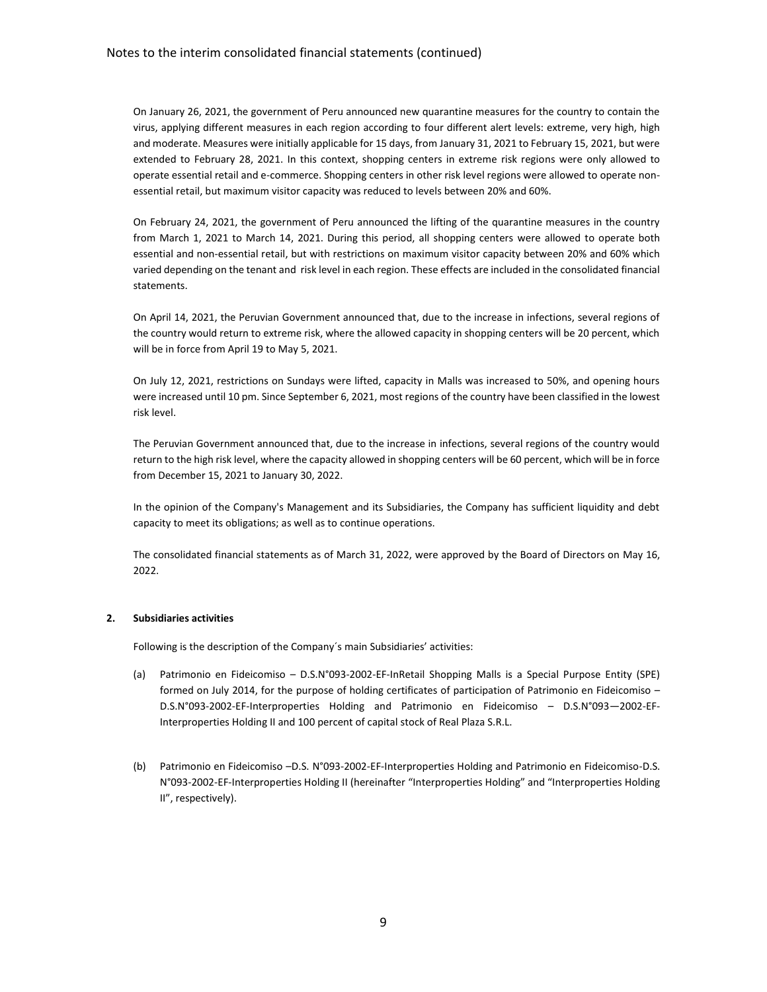On January 26, 2021, the government of Peru announced new quarantine measures for the country to contain the virus, applying different measures in each region according to four different alert levels: extreme, very high, high and moderate. Measures were initially applicable for 15 days, from January 31, 2021 to February 15, 2021, but were extended to February 28, 2021. In this context, shopping centers in extreme risk regions were only allowed to operate essential retail and e-commerce. Shopping centers in other risk level regions were allowed to operate nonessential retail, but maximum visitor capacity was reduced to levels between 20% and 60%.

On February 24, 2021, the government of Peru announced the lifting of the quarantine measures in the country from March 1, 2021 to March 14, 2021. During this period, all shopping centers were allowed to operate both essential and non-essential retail, but with restrictions on maximum visitor capacity between 20% and 60% which varied depending on the tenant and risk level in each region. These effects are included in the consolidated financial statements.

On April 14, 2021, the Peruvian Government announced that, due to the increase in infections, several regions of the country would return to extreme risk, where the allowed capacity in shopping centers will be 20 percent, which will be in force from April 19 to May 5, 2021.

On July 12, 2021, restrictions on Sundays were lifted, capacity in Malls was increased to 50%, and opening hours were increased until 10 pm. Since September 6, 2021, most regions of the country have been classified in the lowest risk level.

The Peruvian Government announced that, due to the increase in infections, several regions of the country would return to the high risk level, where the capacity allowed in shopping centers will be 60 percent, which will be in force from December 15, 2021 to January 30, 2022.

In the opinion of the Company's Management and its Subsidiaries, the Company has sufficient liquidity and debt capacity to meet its obligations; as well as to continue operations.

The consolidated financial statements as of March 31, 2022, were approved by the Board of Directors on May 16, 2022.

## **2. Subsidiaries activities**

Following is the description of the Company´s main Subsidiaries' activities:

- (a) Patrimonio en Fideicomiso D.S.N°093-2002-EF-InRetail Shopping Malls is a Special Purpose Entity (SPE) formed on July 2014, for the purpose of holding certificates of participation of Patrimonio en Fideicomiso – D.S.N°093-2002-EF-Interproperties Holding and Patrimonio en Fideicomiso – D.S.N°093—2002-EF-Interproperties Holding II and 100 percent of capital stock of Real Plaza S.R.L.
- (b) Patrimonio en Fideicomiso –D.S. N°093-2002-EF-Interproperties Holding and Patrimonio en Fideicomiso-D.S. N°093-2002-EF-Interproperties Holding II (hereinafter "Interproperties Holding" and "Interproperties Holding II", respectively).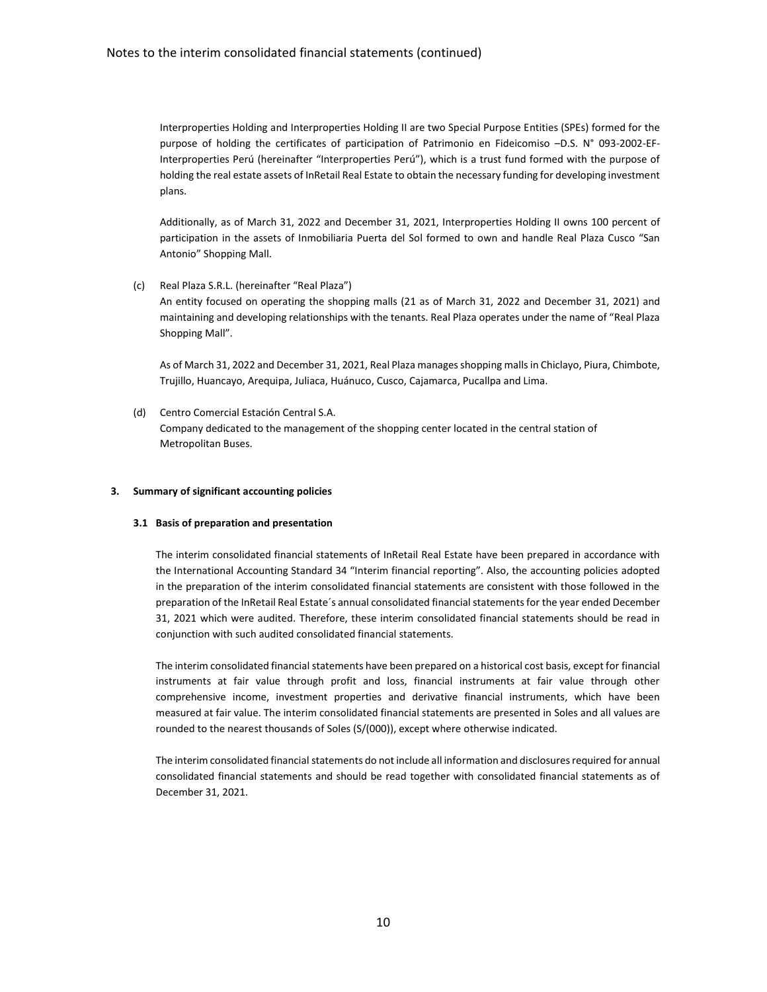Interproperties Holding and Interproperties Holding II are two Special Purpose Entities (SPEs) formed for the purpose of holding the certificates of participation of Patrimonio en Fideicomiso –D.S. N° 093-2002-EF-Interproperties Perú (hereinafter "Interproperties Perú"), which is a trust fund formed with the purpose of holding the real estate assets of InRetail Real Estate to obtain the necessary funding for developing investment plans.

Additionally, as of March 31, 2022 and December 31, 2021, Interproperties Holding II owns 100 percent of participation in the assets of Inmobiliaria Puerta del Sol formed to own and handle Real Plaza Cusco "San Antonio" Shopping Mall.

(c) Real Plaza S.R.L. (hereinafter "Real Plaza")

An entity focused on operating the shopping malls (21 as of March 31, 2022 and December 31, 2021) and maintaining and developing relationships with the tenants. Real Plaza operates under the name of "Real Plaza Shopping Mall".

As of March 31, 2022 and December 31, 2021, Real Plaza manages shopping malls in Chiclayo, Piura, Chimbote, Trujillo, Huancayo, Arequipa, Juliaca, Huánuco, Cusco, Cajamarca, Pucallpa and Lima.

(d) Centro Comercial Estación Central S.A. Company dedicated to the management of the shopping center located in the central station of Metropolitan Buses.

#### **3. Summary of significant accounting policies**

#### **3.1 Basis of preparation and presentation**

The interim consolidated financial statements of InRetail Real Estate have been prepared in accordance with the International Accounting Standard 34 "Interim financial reporting". Also, the accounting policies adopted in the preparation of the interim consolidated financial statements are consistent with those followed in the preparation of the InRetail Real Estate´s annual consolidated financial statements for the year ended December 31, 2021 which were audited. Therefore, these interim consolidated financial statements should be read in conjunction with such audited consolidated financial statements.

The interim consolidated financial statements have been prepared on a historical cost basis, except for financial instruments at fair value through profit and loss, financial instruments at fair value through other comprehensive income, investment properties and derivative financial instruments, which have been measured at fair value. The interim consolidated financial statements are presented in Soles and all values are rounded to the nearest thousands of Soles (S/(000)), except where otherwise indicated.

The interim consolidated financial statements do not include all information and disclosures required for annual consolidated financial statements and should be read together with consolidated financial statements as of December 31, 2021.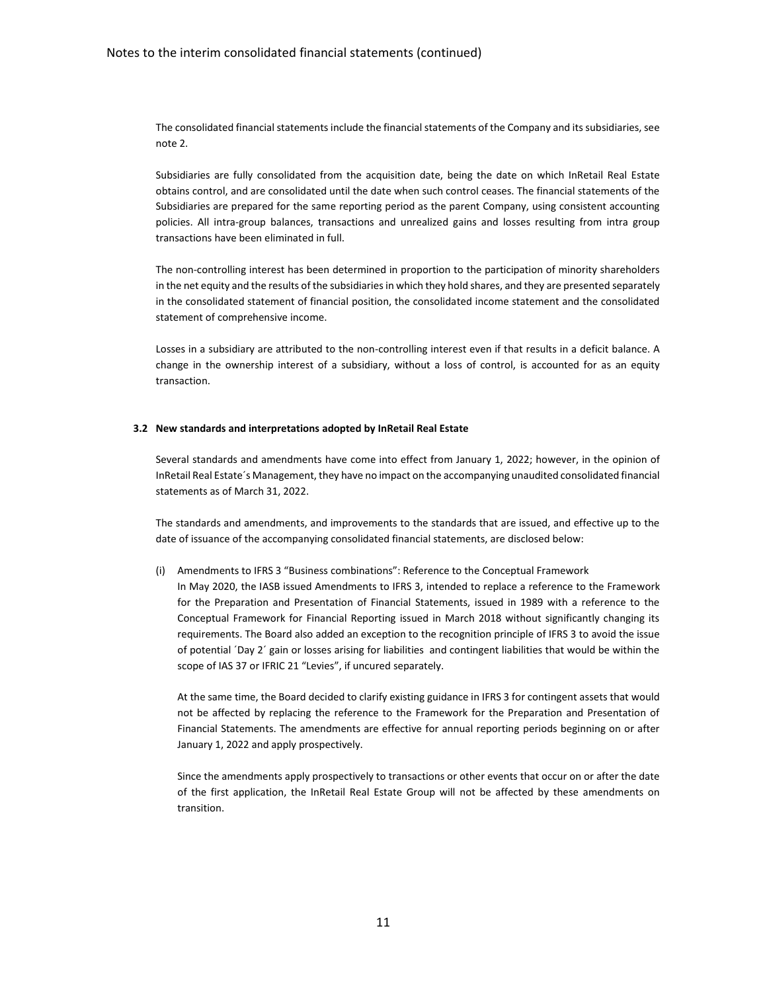The consolidated financial statements include the financial statements of the Company and its subsidiaries, see note 2.

Subsidiaries are fully consolidated from the acquisition date, being the date on which InRetail Real Estate obtains control, and are consolidated until the date when such control ceases. The financial statements of the Subsidiaries are prepared for the same reporting period as the parent Company, using consistent accounting policies. All intra-group balances, transactions and unrealized gains and losses resulting from intra group transactions have been eliminated in full.

The non-controlling interest has been determined in proportion to the participation of minority shareholders in the net equity and the results of the subsidiaries in which they hold shares, and they are presented separately in the consolidated statement of financial position, the consolidated income statement and the consolidated statement of comprehensive income.

Losses in a subsidiary are attributed to the non-controlling interest even if that results in a deficit balance. A change in the ownership interest of a subsidiary, without a loss of control, is accounted for as an equity transaction.

#### **3.2 New standards and interpretations adopted by InRetail Real Estate**

Several standards and amendments have come into effect from January 1, 2022; however, in the opinion of InRetail Real Estate´s Management, they have no impact on the accompanying unaudited consolidated financial statements as of March 31, 2022.

The standards and amendments, and improvements to the standards that are issued, and effective up to the date of issuance of the accompanying consolidated financial statements, are disclosed below:

(i) Amendments to IFRS 3 "Business combinations": Reference to the Conceptual Framework

In May 2020, the IASB issued Amendments to IFRS 3, intended to replace a reference to the Framework for the Preparation and Presentation of Financial Statements, issued in 1989 with a reference to the Conceptual Framework for Financial Reporting issued in March 2018 without significantly changing its requirements. The Board also added an exception to the recognition principle of IFRS 3 to avoid the issue of potential ´Day 2´ gain or losses arising for liabilities and contingent liabilities that would be within the scope of IAS 37 or IFRIC 21 "Levies", if uncured separately.

At the same time, the Board decided to clarify existing guidance in IFRS 3 for contingent assets that would not be affected by replacing the reference to the Framework for the Preparation and Presentation of Financial Statements. The amendments are effective for annual reporting periods beginning on or after January 1, 2022 and apply prospectively.

Since the amendments apply prospectively to transactions or other events that occur on or after the date of the first application, the InRetail Real Estate Group will not be affected by these amendments on transition.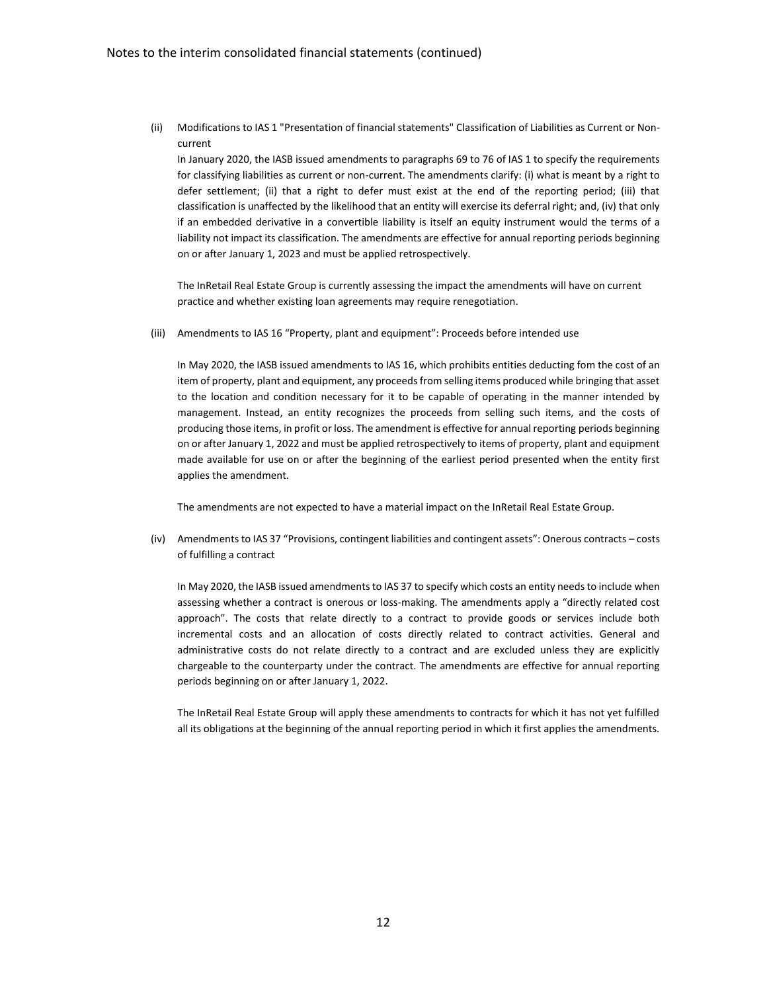(ii) Modifications to IAS 1 "Presentation of financial statements" Classification of Liabilities as Current or Noncurrent

In January 2020, the IASB issued amendments to paragraphs 69 to 76 of IAS 1 to specify the requirements for classifying liabilities as current or non-current. The amendments clarify: (i) what is meant by a right to defer settlement; (ii) that a right to defer must exist at the end of the reporting period; (iii) that classification is unaffected by the likelihood that an entity will exercise its deferral right; and, (iv) that only if an embedded derivative in a convertible liability is itself an equity instrument would the terms of a liability not impact its classification. The amendments are effective for annual reporting periods beginning on or after January 1, 2023 and must be applied retrospectively.

The InRetail Real Estate Group is currently assessing the impact the amendments will have on current practice and whether existing loan agreements may require renegotiation.

(iii) Amendments to IAS 16 "Property, plant and equipment": Proceeds before intended use

In May 2020, the IASB issued amendments to IAS 16, which prohibits entities deducting fom the cost of an item of property, plant and equipment, any proceeds from selling items produced while bringing that asset to the location and condition necessary for it to be capable of operating in the manner intended by management. Instead, an entity recognizes the proceeds from selling such items, and the costs of producing those items, in profit or loss. The amendment is effective for annual reporting periods beginning on or after January 1, 2022 and must be applied retrospectively to items of property, plant and equipment made available for use on or after the beginning of the earliest period presented when the entity first applies the amendment.

The amendments are not expected to have a material impact on the InRetail Real Estate Group.

(iv) Amendments to IAS 37 "Provisions, contingent liabilities and contingent assets": Onerous contracts – costs of fulfilling a contract

In May 2020, the IASB issued amendments to IAS 37 to specify which costs an entity needs to include when assessing whether a contract is onerous or loss-making. The amendments apply a "directly related cost approach". The costs that relate directly to a contract to provide goods or services include both incremental costs and an allocation of costs directly related to contract activities. General and administrative costs do not relate directly to a contract and are excluded unless they are explicitly chargeable to the counterparty under the contract. The amendments are effective for annual reporting periods beginning on or after January 1, 2022.

The InRetail Real Estate Group will apply these amendments to contracts for which it has not yet fulfilled all its obligations at the beginning of the annual reporting period in which it first applies the amendments.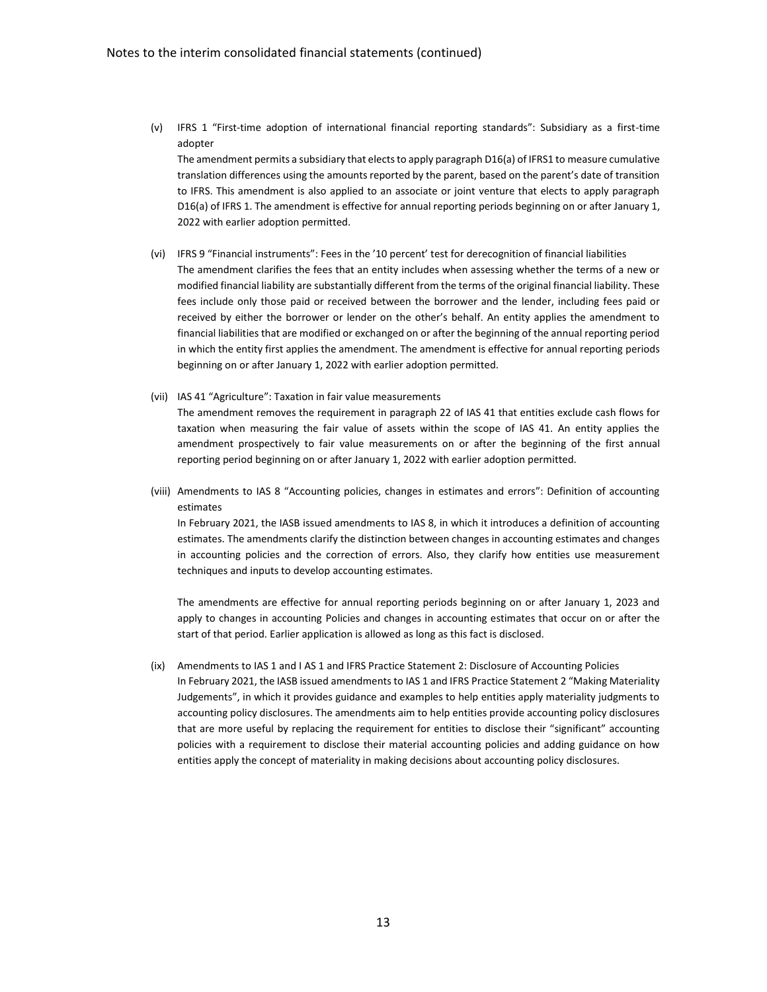(v) IFRS 1 "First-time adoption of international financial reporting standards": Subsidiary as a first-time adopter

The amendment permits a subsidiary that elects to apply paragraph D16(a) of IFRS1 to measure cumulative translation differences using the amounts reported by the parent, based on the parent's date of transition to IFRS. This amendment is also applied to an associate or joint venture that elects to apply paragraph D16(a) of IFRS 1. The amendment is effective for annual reporting periods beginning on or after January 1, 2022 with earlier adoption permitted.

- (vi) IFRS 9 "Financial instruments": Fees in the '10 percent' test for derecognition of financial liabilities The amendment clarifies the fees that an entity includes when assessing whether the terms of a new or modified financial liability are substantially different from the terms of the original financial liability. These fees include only those paid or received between the borrower and the lender, including fees paid or received by either the borrower or lender on the other's behalf. An entity applies the amendment to financial liabilities that are modified or exchanged on or after the beginning of the annual reporting period in which the entity first applies the amendment. The amendment is effective for annual reporting periods beginning on or after January 1, 2022 with earlier adoption permitted.
- (vii) IAS 41 "Agriculture": Taxation in fair value measurements The amendment removes the requirement in paragraph 22 of IAS 41 that entities exclude cash flows for taxation when measuring the fair value of assets within the scope of IAS 41. An entity applies the amendment prospectively to fair value measurements on or after the beginning of the first annual reporting period beginning on or after January 1, 2022 with earlier adoption permitted.
- (viii) Amendments to IAS 8 "Accounting policies, changes in estimates and errors": Definition of accounting estimates

In February 2021, the IASB issued amendments to IAS 8, in which it introduces a definition of accounting estimates. The amendments clarify the distinction between changes in accounting estimates and changes in accounting policies and the correction of errors. Also, they clarify how entities use measurement techniques and inputs to develop accounting estimates.

The amendments are effective for annual reporting periods beginning on or after January 1, 2023 and apply to changes in accounting Policies and changes in accounting estimates that occur on or after the start of that period. Earlier application is allowed as long as this fact is disclosed.

(ix) Amendments to IAS 1 and I AS 1 and IFRS Practice Statement 2: Disclosure of Accounting Policies In February 2021, the IASB issued amendments to IAS 1 and IFRS Practice Statement 2 "Making Materiality Judgements", in which it provides guidance and examples to help entities apply materiality judgments to accounting policy disclosures. The amendments aim to help entities provide accounting policy disclosures that are more useful by replacing the requirement for entities to disclose their "significant" accounting policies with a requirement to disclose their material accounting policies and adding guidance on how entities apply the concept of materiality in making decisions about accounting policy disclosures.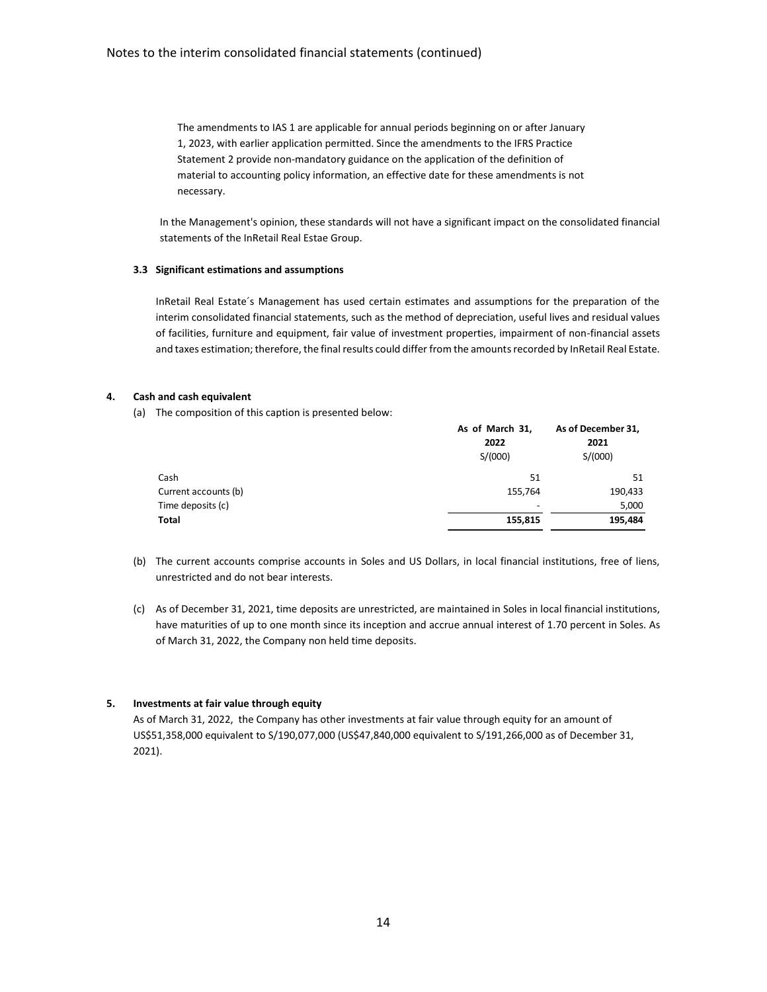The amendments to IAS 1 are applicable for annual periods beginning on or after January 1, 2023, with earlier application permitted. Since the amendments to the IFRS Practice Statement 2 provide non-mandatory guidance on the application of the definition of material to accounting policy information, an effective date for these amendments is not necessary.

In the Management's opinion, these standards will not have a significant impact on the consolidated financial statements of the InRetail Real Estae Group.

## **3.3 Significant estimations and assumptions**

InRetail Real Estate´s Management has used certain estimates and assumptions for the preparation of the interim consolidated financial statements, such as the method of depreciation, useful lives and residual values of facilities, furniture and equipment, fair value of investment properties, impairment of non-financial assets and taxes estimation; therefore, the final results could differ from the amounts recorded by InRetail Real Estate.

## **4. Cash and cash equivalent**

(a) The composition of this caption is presented below:

|                      | As of March 31,<br>2022<br>S/(000) | As of December 31,<br>2021<br>S/(000) |
|----------------------|------------------------------------|---------------------------------------|
| Cash                 | 51                                 | 51                                    |
| Current accounts (b) | 155,764                            | 190,433                               |
| Time deposits (c)    | $\overline{\phantom{a}}$           | 5,000                                 |
| Total                | 155,815                            | 195,484                               |

- (b) The current accounts comprise accounts in Soles and US Dollars, in local financial institutions, free of liens, unrestricted and do not bear interests.
- (c) As of December 31, 2021, time deposits are unrestricted, are maintained in Soles in local financial institutions, have maturities of up to one month since its inception and accrue annual interest of 1.70 percent in Soles. As of March 31, 2022, the Company non held time deposits.

## **5. Investments at fair value through equity**

As of March 31, 2022, the Company has other investments at fair value through equity for an amount of US\$51,358,000 equivalent to S/190,077,000 (US\$47,840,000 equivalent to S/191,266,000 as of December 31, 2021).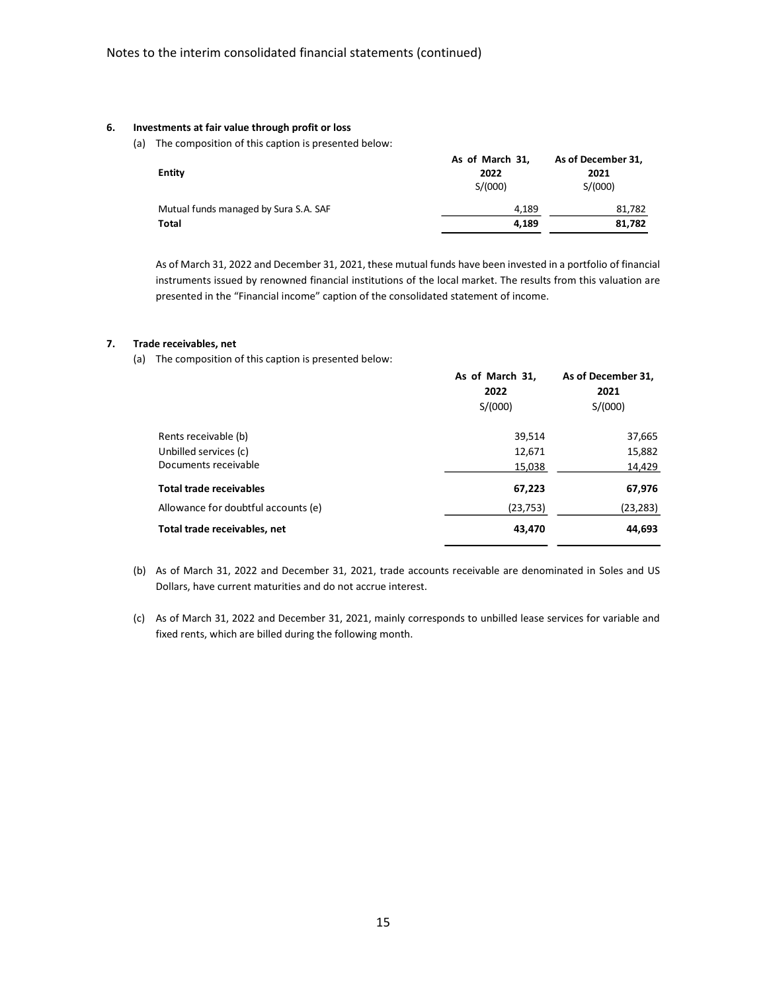#### **6. Investments at fair value through profit or loss**

(a) The composition of this caption is presented below:

| Entity                                | As of March 31,<br>2022<br>S/(000) | As of December 31,<br>2021<br>S/(000) |
|---------------------------------------|------------------------------------|---------------------------------------|
| Mutual funds managed by Sura S.A. SAF | 4.189                              | 81,782                                |
| Total                                 | 4.189                              | 81,782                                |

As of March 31, 2022 and December 31, 2021, these mutual funds have been invested in a portfolio of financial instruments issued by renowned financial institutions of the local market. The results from this valuation are presented in the "Financial income" caption of the consolidated statement of income.

#### **7. Trade receivables, net**

(a) The composition of this caption is presented below:

|                                     | As of March 31,<br>2022 | As of December 31,<br>2021 |  |
|-------------------------------------|-------------------------|----------------------------|--|
|                                     | S/(000)                 | S/(000)                    |  |
| Rents receivable (b)                | 39,514                  | 37,665                     |  |
| Unbilled services (c)               | 12,671                  | 15,882                     |  |
| Documents receivable                | 15,038                  | 14,429                     |  |
| <b>Total trade receivables</b>      | 67,223                  | 67,976                     |  |
| Allowance for doubtful accounts (e) | (23, 753)               | (23, 283)                  |  |
| Total trade receivables, net        | 43,470                  | 44,693                     |  |

- (b) As of March 31, 2022 and December 31, 2021, trade accounts receivable are denominated in Soles and US Dollars, have current maturities and do not accrue interest.
- (c) As of March 31, 2022 and December 31, 2021, mainly corresponds to unbilled lease services for variable and fixed rents, which are billed during the following month.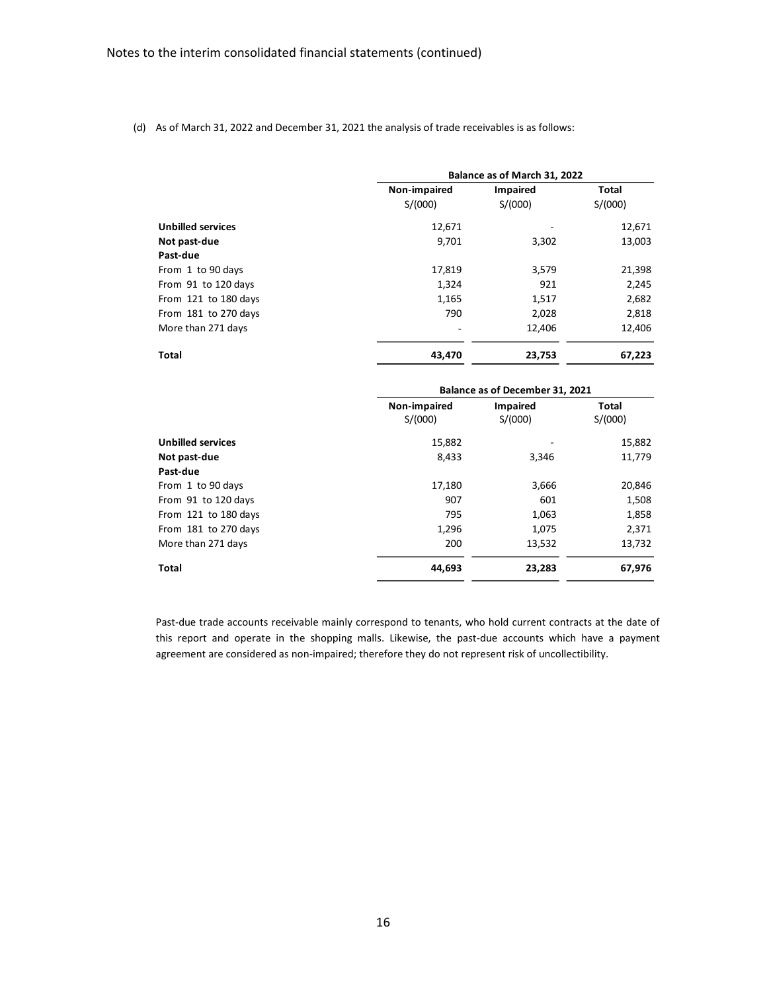(d) As of March 31, 2022 and December 31, 2021 the analysis of trade receivables is as follows:

|                          |              | Balance as of March 31, 2022 |              |  |
|--------------------------|--------------|------------------------------|--------------|--|
|                          | Non-impaired | Impaired                     | <b>Total</b> |  |
|                          | S/(000)      | S/(000)                      | S/(000)      |  |
| <b>Unbilled services</b> | 12,671       |                              | 12,671       |  |
| Not past-due             | 9,701        | 3,302                        | 13,003       |  |
| Past-due                 |              |                              |              |  |
| From 1 to 90 days        | 17,819       | 3,579                        | 21,398       |  |
| From 91 to 120 days      | 1,324        | 921                          | 2,245        |  |
| From 121 to 180 days     | 1,165        | 1,517                        | 2,682        |  |
| From 181 to 270 days     | 790          | 2,028                        | 2,818        |  |
| More than 271 days       |              | 12,406                       | 12,406       |  |
| Total                    | 43.470       | 23,753                       | 67,223       |  |

|                          | Balance as of December 31, 2021 |                            |                  |
|--------------------------|---------------------------------|----------------------------|------------------|
|                          | Non-impaired<br>S/(000)         | <b>Impaired</b><br>S/(000) | Total<br>S/(000) |
| <b>Unbilled services</b> | 15,882                          |                            | 15,882           |
| Not past-due             | 8,433                           | 3,346                      | 11,779           |
| Past-due                 |                                 |                            |                  |
| From 1 to 90 days        | 17,180                          | 3,666                      | 20,846           |
| From 91 to 120 days      | 907                             | 601                        | 1,508            |
| From 121 to 180 days     | 795                             | 1,063                      | 1,858            |
| From 181 to 270 days     | 1,296                           | 1,075                      | 2,371            |
| More than 271 days       | 200                             | 13,532                     | 13,732           |
| <b>Total</b>             | 44,693                          | 23,283                     | 67,976           |

Past-due trade accounts receivable mainly correspond to tenants, who hold current contracts at the date of this report and operate in the shopping malls. Likewise, the past-due accounts which have a payment agreement are considered as non-impaired; therefore they do not represent risk of uncollectibility.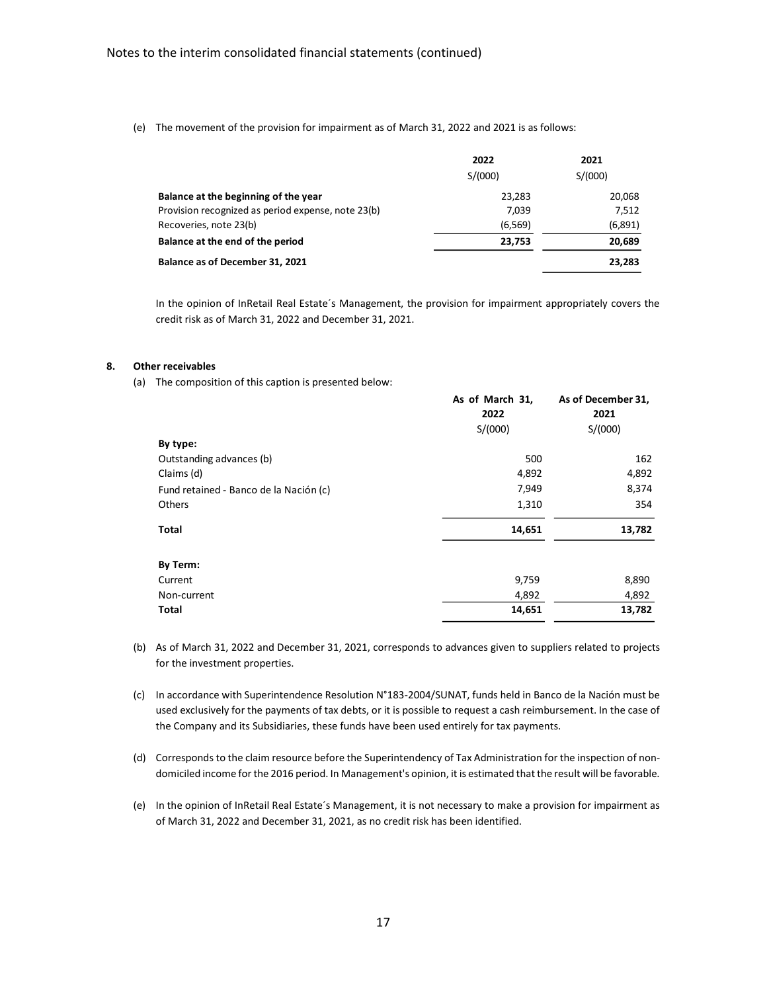(e) The movement of the provision for impairment as of March 31, 2022 and 2021 is as follows:

|                                                    | 2022     | 2021    |
|----------------------------------------------------|----------|---------|
|                                                    | S/(000)  | S/(000) |
| Balance at the beginning of the year               | 23.283   | 20,068  |
| Provision recognized as period expense, note 23(b) | 7,039    | 7,512   |
| Recoveries, note 23(b)                             | (6, 569) | (6,891) |
| Balance at the end of the period                   | 23,753   | 20,689  |
| Balance as of December 31, 2021                    |          | 23,283  |

In the opinion of InRetail Real Estate´s Management, the provision for impairment appropriately covers the credit risk as of March 31, 2022 and December 31, 2021.

#### **8. Other receivables**

(a) The composition of this caption is presented below:

|                                        | As of March 31,<br>2022<br>S/(000) | As of December 31,<br>2021<br>S/(000) |
|----------------------------------------|------------------------------------|---------------------------------------|
| By type:                               |                                    |                                       |
| Outstanding advances (b)               | 500                                | 162                                   |
| Claims (d)                             | 4,892                              | 4,892                                 |
| Fund retained - Banco de la Nación (c) | 7,949                              | 8,374                                 |
| Others                                 | 1,310                              | 354                                   |
| Total                                  | 14,651                             | 13,782                                |
| By Term:                               |                                    |                                       |
| Current                                | 9,759                              | 8,890                                 |
| Non-current                            | 4,892                              | 4,892                                 |
| Total                                  | 14,651                             | 13,782                                |

(b) As of March 31, 2022 and December 31, 2021, corresponds to advances given to suppliers related to projects for the investment properties.

(c) In accordance with Superintendence Resolution N°183-2004/SUNAT, funds held in Banco de la Nación must be used exclusively for the payments of tax debts, or it is possible to request a cash reimbursement. In the case of the Company and its Subsidiaries, these funds have been used entirely for tax payments.

(d) Corresponds to the claim resource before the Superintendency of Tax Administration for the inspection of nondomiciled income for the 2016 period. In Management's opinion, it is estimated that the result will be favorable.

(e) In the opinion of InRetail Real Estate´s Management, it is not necessary to make a provision for impairment as of March 31, 2022 and December 31, 2021, as no credit risk has been identified.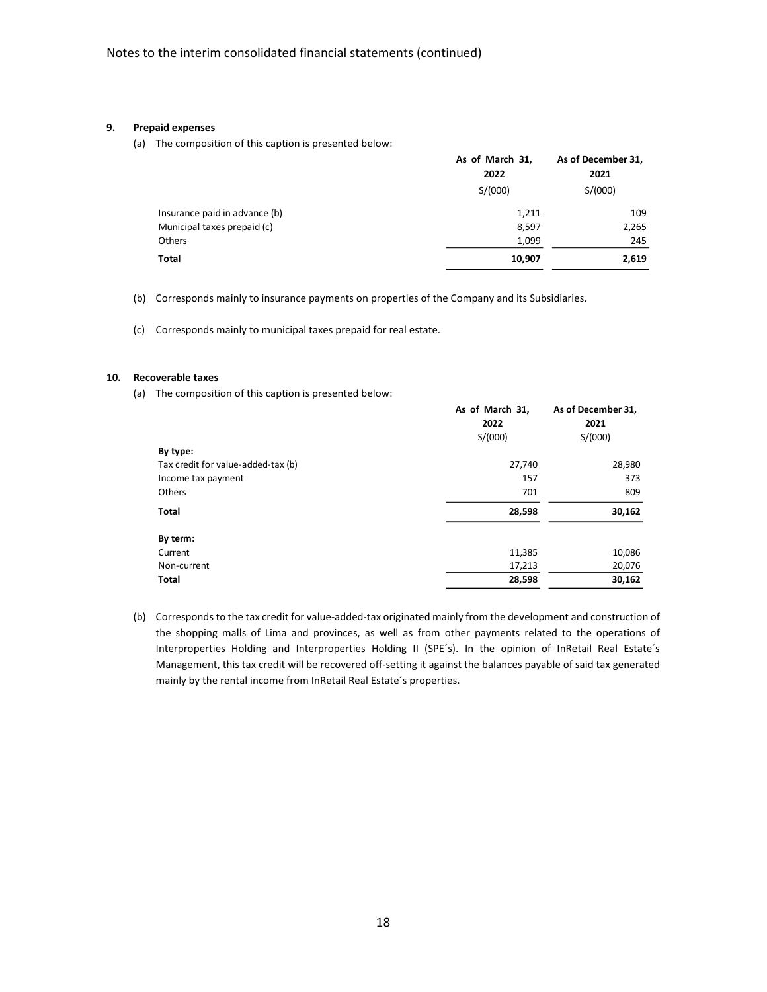#### **9. Prepaid expenses**

(a) The composition of this caption is presented below:

|                               | As of March 31, | As of December 31, |
|-------------------------------|-----------------|--------------------|
|                               | 2022            | 2021               |
|                               | S/(000)         | S/(000)            |
| Insurance paid in advance (b) | 1,211           | 109                |
| Municipal taxes prepaid (c)   | 8,597           | 2,265              |
| <b>Others</b>                 | 1,099           | 245                |
| Total                         | 10,907          | 2,619              |

(b) Corresponds mainly to insurance payments on properties of the Company and its Subsidiaries.

(c) Corresponds mainly to municipal taxes prepaid for real estate.

#### **10. Recoverable taxes**

(a) The composition of this caption is presented below:

|                                    | As of March 31, | As of December 31, |
|------------------------------------|-----------------|--------------------|
|                                    | 2022            | 2021               |
|                                    | S/(000)         | S/(000)            |
| By type:                           |                 |                    |
| Tax credit for value-added-tax (b) | 27,740          | 28,980             |
| Income tax payment                 | 157             | 373                |
| Others                             | 701             | 809                |
| Total                              | 28,598          | 30,162             |
| By term:                           |                 |                    |
| Current                            | 11,385          | 10,086             |
| Non-current                        | 17,213          | 20,076             |
| Total                              | 28,598          | 30,162             |

(b) Corresponds to the tax credit for value-added-tax originated mainly from the development and construction of the shopping malls of Lima and provinces, as well as from other payments related to the operations of Interproperties Holding and Interproperties Holding II (SPE´s). In the opinion of InRetail Real Estate´s Management, this tax credit will be recovered off-setting it against the balances payable of said tax generated mainly by the rental income from InRetail Real Estate´s properties.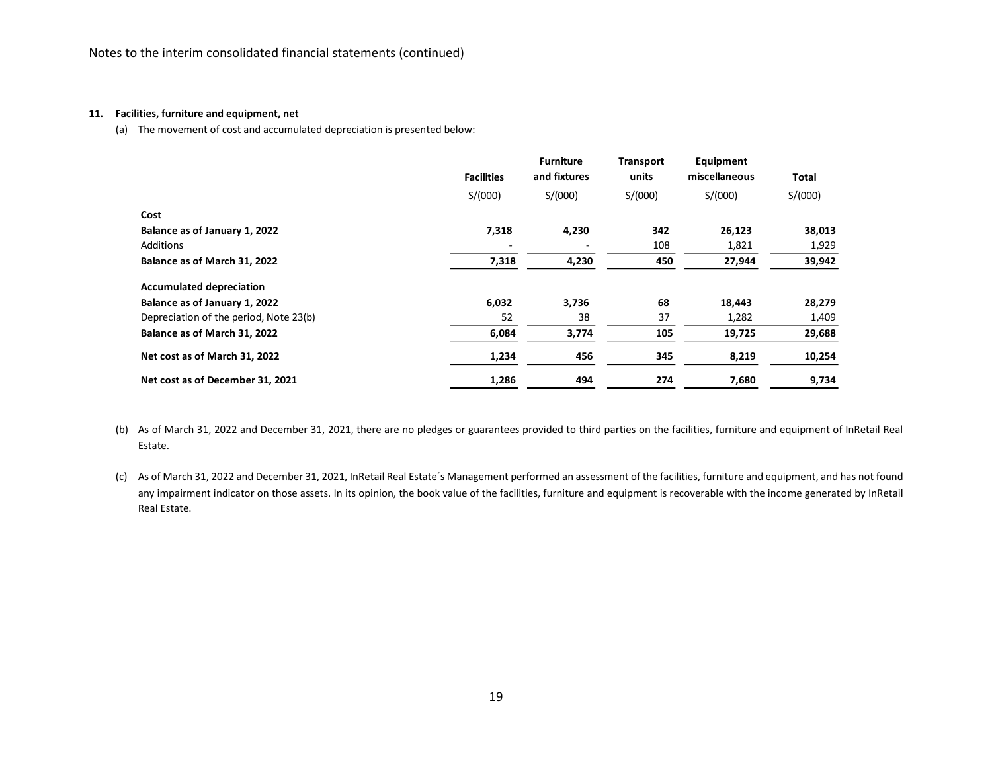#### **11. Facilities, furniture and equipment, net**

(a) The movement of cost and accumulated depreciation is presented below:

|                                        | <b>Facilities</b> | <b>Furniture</b><br>and fixtures | <b>Transport</b><br>units | Equipment<br>miscellaneous | Total   |
|----------------------------------------|-------------------|----------------------------------|---------------------------|----------------------------|---------|
|                                        | S/(000)           | S/(000)                          | S/(000)                   | S/(000)                    | S/(000) |
| Cost                                   |                   |                                  |                           |                            |         |
| Balance as of January 1, 2022          | 7,318             | 4,230                            | 342                       | 26,123                     | 38,013  |
| Additions                              |                   |                                  | 108                       | 1,821                      | 1,929   |
| Balance as of March 31, 2022           | 7,318             | 4,230                            | 450                       | 27,944                     | 39,942  |
| <b>Accumulated depreciation</b>        |                   |                                  |                           |                            |         |
| Balance as of January 1, 2022          | 6,032             | 3,736                            | 68                        | 18,443                     | 28,279  |
| Depreciation of the period, Note 23(b) | 52                | 38                               | 37                        | 1,282                      | 1,409   |
| Balance as of March 31, 2022           | 6,084             | 3,774                            | 105                       | 19,725                     | 29,688  |
| Net cost as of March 31, 2022          | 1,234             | 456                              | 345                       | 8,219                      | 10,254  |
| Net cost as of December 31, 2021       | 1,286             | 494                              | 274                       | 7,680                      | 9,734   |

(b) As of March 31, 2022 and December 31, 2021, there are no pledges or guarantees provided to third parties on the facilities, furniture and equipment of InRetail Real Estate.

(c) As of March 31, 2022 and December 31, 2021, InRetail Real Estate´s Management performed an assessment of the facilities, furniture and equipment, and has not found any impairment indicator on those assets. In its opinion, the book value of the facilities, furniture and equipment is recoverable with the income generated by InRetail Real Estate.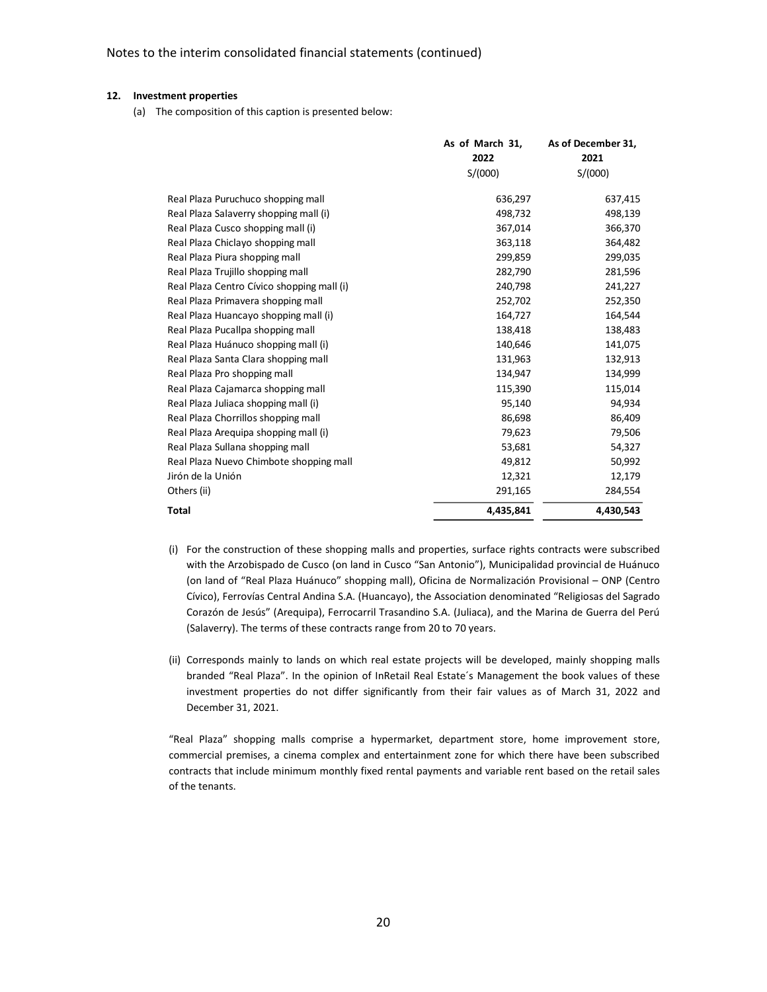#### **12. Investment properties**

(a) The composition of this caption is presented below:

|                                            | As of March 31,<br>2022 | As of December 31,<br>2021 |
|--------------------------------------------|-------------------------|----------------------------|
|                                            | S/(000)                 | S/(000)                    |
| Real Plaza Puruchuco shopping mall         | 636,297                 | 637,415                    |
| Real Plaza Salaverry shopping mall (i)     | 498,732                 | 498,139                    |
| Real Plaza Cusco shopping mall (i)         | 367,014                 | 366,370                    |
| Real Plaza Chiclayo shopping mall          | 363,118                 | 364,482                    |
| Real Plaza Piura shopping mall             | 299,859                 | 299,035                    |
| Real Plaza Trujillo shopping mall          | 282,790                 | 281,596                    |
| Real Plaza Centro Cívico shopping mall (i) | 240,798                 | 241,227                    |
| Real Plaza Primavera shopping mall         | 252,702                 | 252,350                    |
| Real Plaza Huancayo shopping mall (i)      | 164,727                 | 164,544                    |
| Real Plaza Pucallpa shopping mall          | 138,418                 | 138,483                    |
| Real Plaza Huánuco shopping mall (i)       | 140,646                 | 141,075                    |
| Real Plaza Santa Clara shopping mall       | 131,963                 | 132,913                    |
| Real Plaza Pro shopping mall               | 134,947                 | 134,999                    |
| Real Plaza Cajamarca shopping mall         | 115,390                 | 115,014                    |
| Real Plaza Juliaca shopping mall (i)       | 95,140                  | 94,934                     |
| Real Plaza Chorrillos shopping mall        | 86,698                  | 86,409                     |
| Real Plaza Arequipa shopping mall (i)      | 79,623                  | 79,506                     |
| Real Plaza Sullana shopping mall           | 53,681                  | 54,327                     |
| Real Plaza Nuevo Chimbote shopping mall    | 49,812                  | 50,992                     |
| Jirón de la Unión                          | 12,321                  | 12,179                     |
| Others (ii)                                | 291,165                 | 284,554                    |
| Total                                      | 4,435,841               | 4,430,543                  |

- (i) For the construction of these shopping malls and properties, surface rights contracts were subscribed with the Arzobispado de Cusco (on land in Cusco "San Antonio"), Municipalidad provincial de Huánuco (on land of "Real Plaza Huánuco" shopping mall), Oficina de Normalización Provisional – ONP (Centro Cívico), Ferrovías Central Andina S.A. (Huancayo), the Association denominated "Religiosas del Sagrado Corazón de Jesús" (Arequipa), Ferrocarril Trasandino S.A. (Juliaca), and the Marina de Guerra del Perú (Salaverry). The terms of these contracts range from 20 to 70 years.
- (ii) Corresponds mainly to lands on which real estate projects will be developed, mainly shopping malls branded "Real Plaza". In the opinion of InRetail Real Estate´s Management the book values of these investment properties do not differ significantly from their fair values as of March 31, 2022 and December 31, 2021.

"Real Plaza" shopping malls comprise a hypermarket, department store, home improvement store, commercial premises, a cinema complex and entertainment zone for which there have been subscribed contracts that include minimum monthly fixed rental payments and variable rent based on the retail sales of the tenants.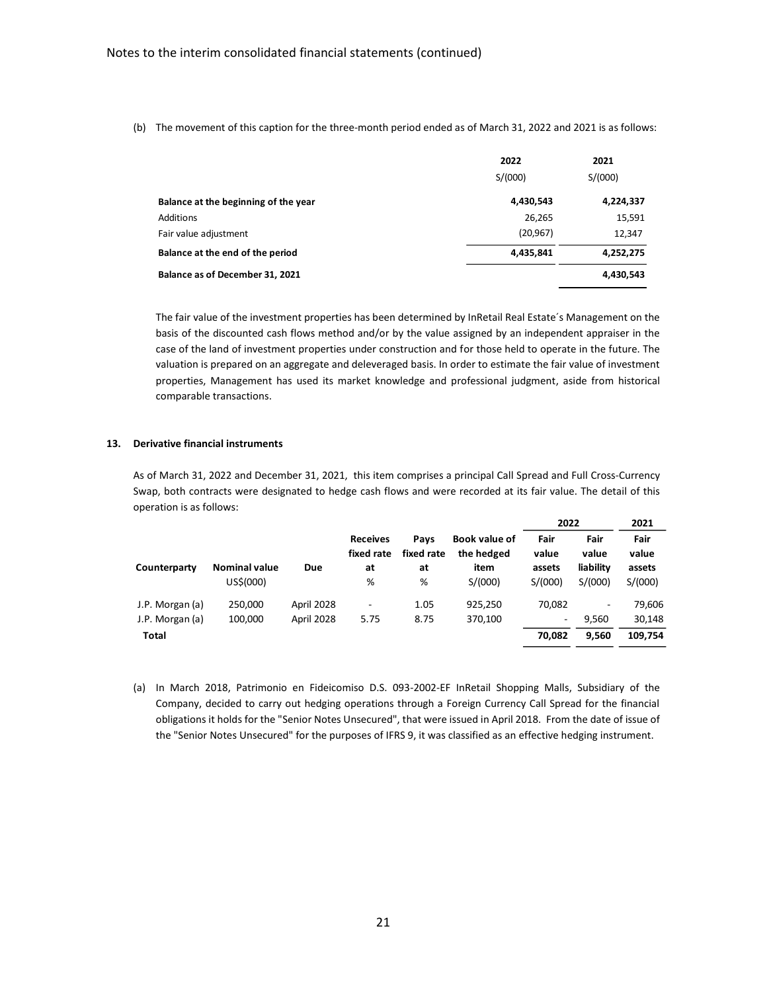(b) The movement of this caption for the three-month period ended as of March 31, 2022 and 2021 is as follows:

|                                      | 2022      | 2021      |
|--------------------------------------|-----------|-----------|
|                                      | S/(000)   | S/(000)   |
| Balance at the beginning of the year | 4,430,543 | 4,224,337 |
| Additions                            | 26,265    | 15,591    |
| Fair value adjustment                | (20, 967) | 12,347    |
| Balance at the end of the period     | 4,435,841 | 4,252,275 |
| Balance as of December 31, 2021      |           | 4,430,543 |

The fair value of the investment properties has been determined by InRetail Real Estate´s Management on the basis of the discounted cash flows method and/or by the value assigned by an independent appraiser in the case of the land of investment properties under construction and for those held to operate in the future. The valuation is prepared on an aggregate and deleveraged basis. In order to estimate the fair value of investment properties, Management has used its market knowledge and professional judgment, aside from historical comparable transactions.

#### **13. Derivative financial instruments**

As of March 31, 2022 and December 31, 2021, this item comprises a principal Call Spread and Full Cross-Currency Swap, both contracts were designated to hedge cash flows and were recorded at its fair value. The detail of this operation is as follows:

|                 |                      |            |                               |                    |                                    | 2022                     |                          | 2021          |
|-----------------|----------------------|------------|-------------------------------|--------------------|------------------------------------|--------------------------|--------------------------|---------------|
|                 |                      |            | <b>Receives</b><br>fixed rate | Pavs<br>fixed rate | <b>Book value of</b><br>the hedged | Fair<br>value            | Fair<br>value            | Fair<br>value |
| Counterparty    | <b>Nominal value</b> | <b>Due</b> | at                            | at                 | item                               | assets                   | liability                | assets        |
|                 | US\$(000)            |            | %                             | %                  | S/(000)                            | S/(000)                  | S/(000)                  | S/(000)       |
| J.P. Morgan (a) | 250.000              | April 2028 | ۰                             | 1.05               | 925.250                            | 70.082                   | $\overline{\phantom{a}}$ | 79.606        |
| J.P. Morgan (a) | 100,000              | April 2028 | 5.75                          | 8.75               | 370,100                            | $\overline{\phantom{a}}$ | 9.560                    | 30,148        |
| <b>Total</b>    |                      |            |                               |                    |                                    | 70,082                   | 9,560                    | 109,754       |

(a) In March 2018, Patrimonio en Fideicomiso D.S. 093-2002-EF InRetail Shopping Malls, Subsidiary of the Company, decided to carry out hedging operations through a Foreign Currency Call Spread for the financial obligations it holds for the "Senior Notes Unsecured", that were issued in April 2018. From the date of issue of the "Senior Notes Unsecured" for the purposes of IFRS 9, it was classified as an effective hedging instrument.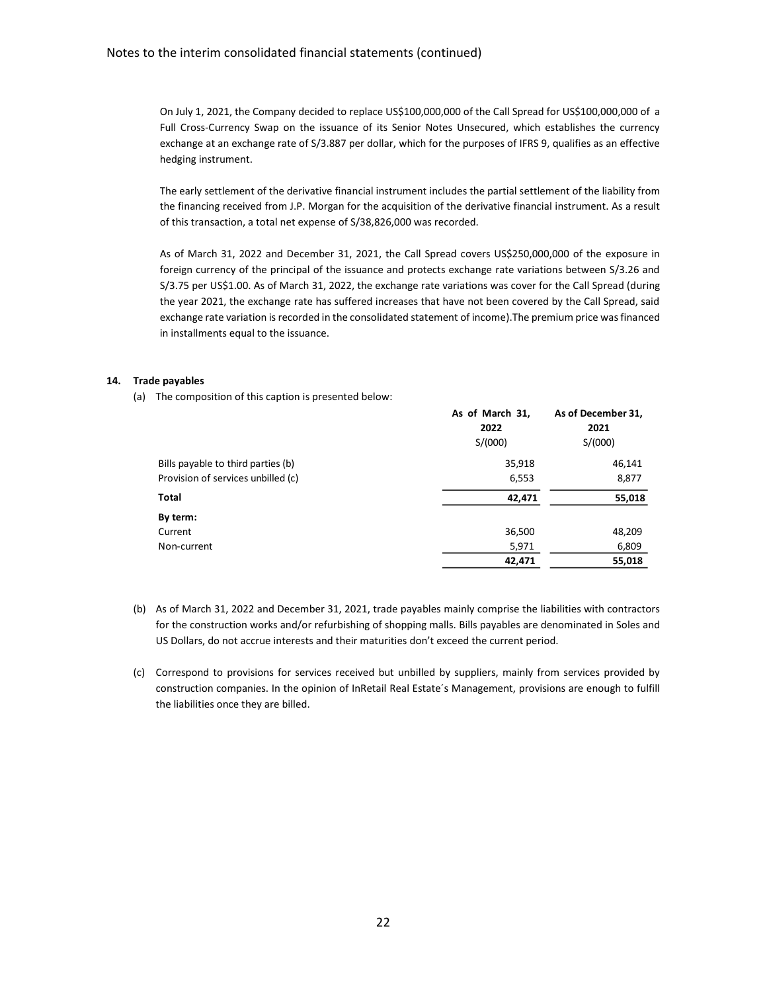On July 1, 2021, the Company decided to replace US\$100,000,000 of the Call Spread for US\$100,000,000 of a Full Cross-Currency Swap on the issuance of its Senior Notes Unsecured, which establishes the currency exchange at an exchange rate of S/3.887 per dollar, which for the purposes of IFRS 9, qualifies as an effective hedging instrument.

The early settlement of the derivative financial instrument includes the partial settlement of the liability from the financing received from J.P. Morgan for the acquisition of the derivative financial instrument. As a result of this transaction, a total net expense of S/38,826,000 was recorded.

As of March 31, 2022 and December 31, 2021, the Call Spread covers US\$250,000,000 of the exposure in foreign currency of the principal of the issuance and protects exchange rate variations between S/3.26 and S/3.75 per US\$1.00. As of March 31, 2022, the exchange rate variations was cover for the Call Spread (during the year 2021, the exchange rate has suffered increases that have not been covered by the Call Spread, said exchange rate variation is recorded in the consolidated statement of income).The premium price was financed in installments equal to the issuance.

## **14. Trade payables**

(a) The composition of this caption is presented below:

|                                    | As of March 31, | As of December 31, |
|------------------------------------|-----------------|--------------------|
|                                    | 2022            | 2021               |
|                                    | S/(000)         | S/(000)            |
| Bills payable to third parties (b) | 35,918          | 46,141             |
| Provision of services unbilled (c) | 6,553           | 8,877              |
| Total                              | 42,471          | 55,018             |
| By term:                           |                 |                    |
| Current                            | 36,500          | 48,209             |
| Non-current                        | 5,971           | 6,809              |
|                                    | 42,471          | 55,018             |

- (b) As of March 31, 2022 and December 31, 2021, trade payables mainly comprise the liabilities with contractors for the construction works and/or refurbishing of shopping malls. Bills payables are denominated in Soles and US Dollars, do not accrue interests and their maturities don't exceed the current period.
- (c) Correspond to provisions for services received but unbilled by suppliers, mainly from services provided by construction companies. In the opinion of InRetail Real Estate´s Management, provisions are enough to fulfill the liabilities once they are billed.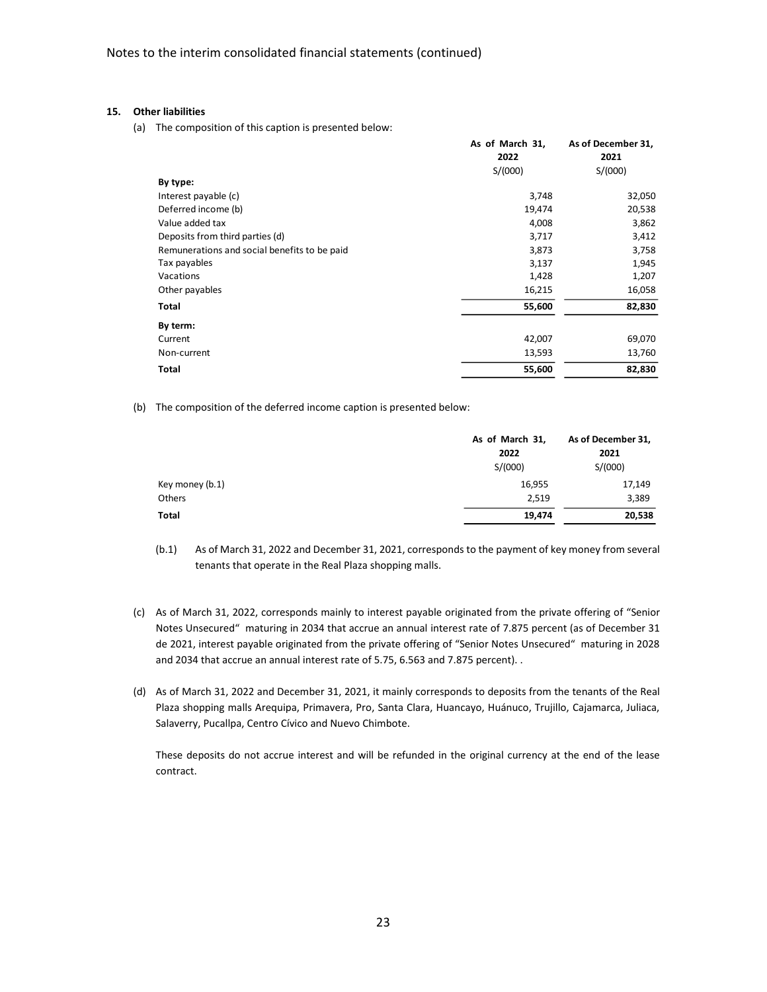## **15. Other liabilities**

(a) The composition of this caption is presented below:

|                                              | As of March 31, | As of December 31, |
|----------------------------------------------|-----------------|--------------------|
|                                              | 2022            | 2021               |
|                                              | S/(000)         | S/(000)            |
| By type:                                     |                 |                    |
| Interest payable (c)                         | 3,748           | 32,050             |
| Deferred income (b)                          | 19,474          | 20,538             |
| Value added tax                              | 4,008           | 3,862              |
| Deposits from third parties (d)              | 3,717           | 3,412              |
| Remunerations and social benefits to be paid | 3,873           | 3,758              |
| Tax payables                                 | 3,137           | 1,945              |
| Vacations                                    | 1,428           | 1,207              |
| Other payables                               | 16,215          | 16,058             |
| Total                                        | 55,600          | 82,830             |
| By term:                                     |                 |                    |
| Current                                      | 42,007          | 69,070             |
| Non-current                                  | 13,593          | 13,760             |
| Total                                        | 55,600          | 82,830             |

(b) The composition of the deferred income caption is presented below:

|                 | As of March 31, | As of December 31, |
|-----------------|-----------------|--------------------|
|                 | 2022            | 2021               |
|                 | S/(000)         | S/(000)            |
| Key money (b.1) | 16,955          | 17,149             |
| Others          | 2,519           | 3,389              |
| Total           | 19,474          | 20,538             |

- (b.1) As of March 31, 2022 and December 31, 2021, corresponds to the payment of key money from several tenants that operate in the Real Plaza shopping malls.
- (c) As of March 31, 2022, corresponds mainly to interest payable originated from the private offering of "Senior Notes Unsecured" maturing in 2034 that accrue an annual interest rate of 7.875 percent (as of December 31 de 2021, interest payable originated from the private offering of "Senior Notes Unsecured" maturing in 2028 and 2034 that accrue an annual interest rate of 5.75, 6.563 and 7.875 percent). .
- (d) As of March 31, 2022 and December 31, 2021, it mainly corresponds to deposits from the tenants of the Real Plaza shopping malls Arequipa, Primavera, Pro, Santa Clara, Huancayo, Huánuco, Trujillo, Cajamarca, Juliaca, Salaverry, Pucallpa, Centro Cívico and Nuevo Chimbote.

These deposits do not accrue interest and will be refunded in the original currency at the end of the lease contract.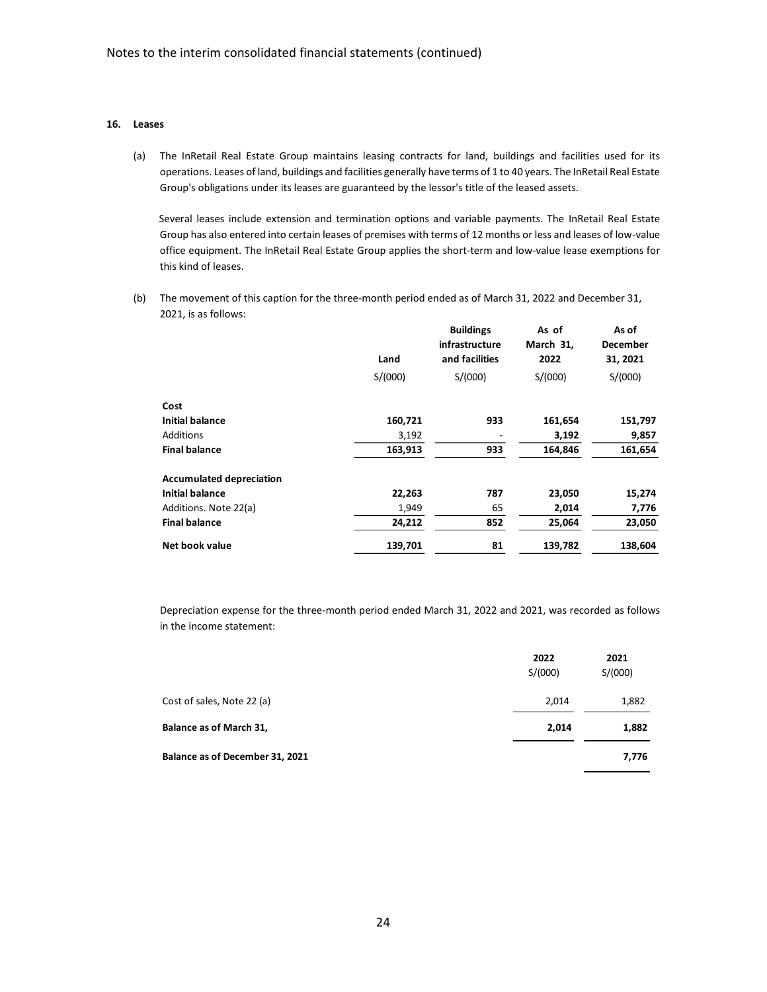# **16. Leases**

(a) The InRetail Real Estate Group maintains leasing contracts for land, buildings and facilities used for its operations. Leases of land, buildings and facilities generally have terms of 1 to 40 years. The InRetail Real Estate Group's obligations under its leases are guaranteed by the lessor's title of the leased assets.

Several leases include extension and termination options and variable payments. The InRetail Real Estate Group has also entered into certain leases of premises with terms of 12 months or less and leases of low-value office equipment. The InRetail Real Estate Group applies the short-term and low-value lease exemptions for this kind of leases.

(b) The movement of this caption for the three-month period ended as of March 31, 2022 and December 31, 2021, is as follows:

|                                 | Land    | <b>Buildings</b><br>infrastructure<br>and facilities | As of<br>March 31,<br>2022 | As of<br><b>December</b><br>31, 2021 |
|---------------------------------|---------|------------------------------------------------------|----------------------------|--------------------------------------|
|                                 | S/(000) | S/(000)                                              | S/(000)                    | S/(000)                              |
| Cost                            |         |                                                      |                            |                                      |
| <b>Initial balance</b>          | 160,721 | 933                                                  | 161,654                    | 151,797                              |
| Additions                       | 3,192   |                                                      | 3,192                      | 9,857                                |
| <b>Final balance</b>            | 163,913 | 933                                                  | 164,846                    | 161,654                              |
| <b>Accumulated depreciation</b> |         |                                                      |                            |                                      |
| <b>Initial balance</b>          | 22,263  | 787                                                  | 23,050                     | 15,274                               |
| Additions. Note 22(a)           | 1,949   | 65                                                   | 2,014                      | 7,776                                |
| <b>Final balance</b>            | 24,212  | 852                                                  | 25,064                     | 23,050                               |
| Net book value                  | 139,701 | 81                                                   | 139,782                    | 138,604                              |

Depreciation expense for the three-month period ended March 31, 2022 and 2021, was recorded as follows in the income statement:

|                                 | 2022<br>S/(000) | 2021<br>S/(000) |
|---------------------------------|-----------------|-----------------|
| Cost of sales, Note 22 (a)      | 2,014           | 1,882           |
| Balance as of March 31,         | 2,014           | 1,882           |
| Balance as of December 31, 2021 |                 | 7,776           |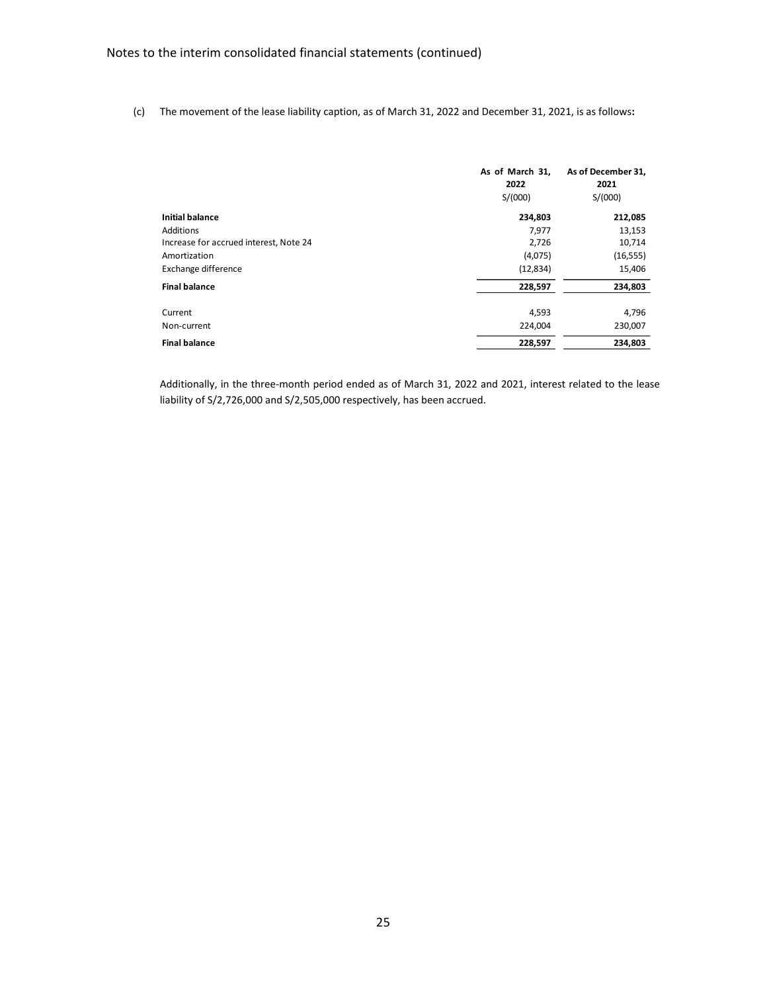(c) The movement of the lease liability caption, as of March 31, 2022 and December 31, 2021, is as follows**:**

|                                        | As of March 31,<br>2022<br>S/(000) | As of December 31,<br>2021<br>S/(000) |
|----------------------------------------|------------------------------------|---------------------------------------|
| <b>Initial balance</b>                 | 234,803                            | 212,085                               |
| Additions                              | 7,977                              | 13,153                                |
| Increase for accrued interest, Note 24 | 2,726                              | 10,714                                |
| Amortization                           | (4,075)                            | (16, 555)                             |
| Exchange difference                    | (12, 834)                          | 15,406                                |
| <b>Final balance</b>                   | 228,597                            | 234,803                               |
| Current                                | 4,593                              | 4,796                                 |
| Non-current                            | 224,004                            | 230,007                               |
| <b>Final balance</b>                   | 228,597                            | 234,803                               |

Additionally, in the three-month period ended as of March 31, 2022 and 2021, interest related to the lease liability of S/2,726,000 and S/2,505,000 respectively, has been accrued.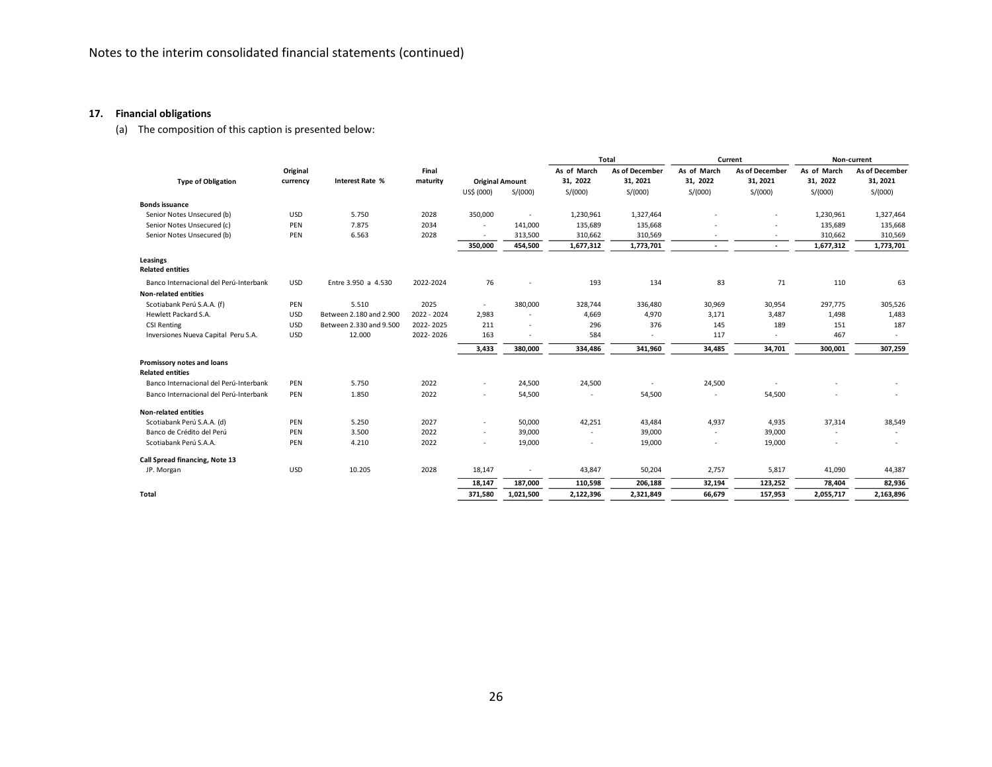## **17. Financial obligations**

(a) The composition of this caption is presented below:

|                                        |            |                         |             |                        |           |             | Total          |             | Current        |             | Non-current    |
|----------------------------------------|------------|-------------------------|-------------|------------------------|-----------|-------------|----------------|-------------|----------------|-------------|----------------|
|                                        | Original   |                         | Final       |                        |           | As of March | As of December | As of March | As of December | As of March | As of December |
| <b>Type of Obligation</b>              | currency   | Interest Rate %         | maturity    | <b>Original Amount</b> |           | 31, 2022    | 31, 2021       | 31, 2022    | 31, 2021       | 31, 2022    | 31, 2021       |
|                                        |            |                         |             | US\$ (000)             | S/(000)   | S/(000)     | S/(000)        | S/(000)     | S/(000)        | S/(000)     | S/(000)        |
| <b>Bonds issuance</b>                  |            |                         |             |                        |           |             |                |             |                |             |                |
| Senior Notes Unsecured (b)             | <b>USD</b> | 5.750                   | 2028        | 350,000                | $\sim$    | 1,230,961   | 1,327,464      |             |                | 1,230,961   | 1,327,464      |
| Senior Notes Unsecured (c)             | PEN        | 7.875                   | 2034        |                        | 141,000   | 135,689     | 135,668        |             |                | 135,689     | 135,668        |
| Senior Notes Unsecured (b)             | PEN        | 6.563                   | 2028        | $\sim$                 | 313,500   | 310,662     | 310,569        |             |                | 310,662     | 310,569        |
|                                        |            |                         |             | 350,000                | 454,500   | 1,677,312   | 1,773,701      | ٠           | $\sim$         | 1,677,312   | 1,773,701      |
| Leasings<br><b>Related entities</b>    |            |                         |             |                        |           |             |                |             |                |             |                |
| Banco Internacional del Perú-Interbank | <b>USD</b> | Entre 3.950 a 4.530     | 2022-2024   | 76                     |           | 193         | 134            | 83          | 71             | 110         | 63             |
| <b>Non-related entities</b>            |            |                         |             |                        |           |             |                |             |                |             |                |
| Scotiabank Perú S.A.A. (f)             | PEN        | 5.510                   | 2025        | $\sim$                 | 380,000   | 328,744     | 336,480        | 30,969      | 30,954         | 297,775     | 305,526        |
| Hewlett Packard S.A.                   | <b>USD</b> | Between 2.180 and 2.900 | 2022 - 2024 | 2,983                  |           | 4,669       | 4,970          | 3,171       | 3,487          | 1,498       | 1,483          |
| <b>CSI Renting</b>                     | <b>USD</b> | Between 2.330 and 9.500 | 2022-2025   | 211                    | $\sim$    | 296         | 376            | 145         | 189            | 151         | 187            |
| Inversiones Nueva Capital Peru S.A.    | <b>USD</b> | 12.000                  | 2022-2026   | 163                    |           | 584         |                | 117         |                | 467         |                |
|                                        |            |                         |             | 3,433                  | 380,000   | 334,486     | 341,960        | 34,485      | 34,701         | 300,001     | 307,259        |
| Promissory notes and loans             |            |                         |             |                        |           |             |                |             |                |             |                |
| <b>Related entities</b>                |            |                         |             |                        |           |             |                |             |                |             |                |
| Banco Internacional del Perú-Interbank | PEN        | 5.750                   | 2022        | $\sim$                 | 24,500    | 24,500      |                | 24,500      |                |             |                |
| Banco Internacional del Perú-Interbank | PEN        | 1.850                   | 2022        | ٠                      | 54,500    | $\sim$      | 54,500         |             | 54,500         |             |                |
| <b>Non-related entities</b>            |            |                         |             |                        |           |             |                |             |                |             |                |
| Scotiabank Perú S.A.A. (d)             | PEN        | 5.250                   | 2027        | ٠                      | 50,000    | 42,251      | 43,484         | 4,937       | 4,935          | 37,314      | 38,549         |
| Banco de Crédito del Perú              | PEN        | 3.500                   | 2022        | $\sim$                 | 39,000    | ٠           | 39,000         | ٠           | 39,000         |             | $\sim$         |
| Scotiabank Perú S.A.A.                 | PEN        | 4.210                   | 2022        | ٠                      | 19,000    | $\sim$      | 19,000         |             | 19,000         | $\sim$      | ٠              |
| Call Spread financing, Note 13         |            |                         |             |                        |           |             |                |             |                |             |                |
| JP. Morgan                             | <b>USD</b> | 10.205                  | 2028        | 18,147                 |           | 43,847      | 50,204         | 2,757       | 5,817          | 41,090      | 44,387         |
|                                        |            |                         |             | 18,147                 | 187,000   | 110,598     | 206,188        | 32,194      | 123,252        | 78,404      | 82,936         |
| Total                                  |            |                         |             | 371,580                | 1,021,500 | 2,122,396   | 2,321,849      | 66,679      | 157,953        | 2,055,717   | 2,163,896      |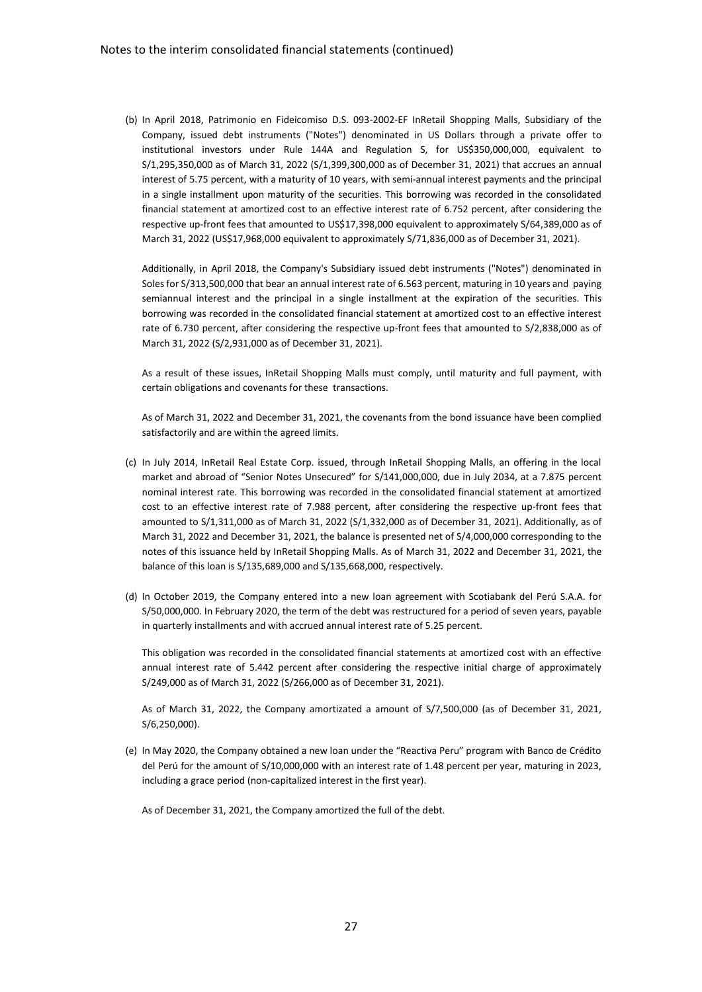(b) In April 2018, Patrimonio en Fideicomiso D.S. 093-2002-EF InRetail Shopping Malls, Subsidiary of the Company, issued debt instruments ("Notes") denominated in US Dollars through a private offer to institutional investors under Rule 144A and Regulation S, for US\$350,000,000, equivalent to S/1,295,350,000 as of March 31, 2022 (S/1,399,300,000 as of December 31, 2021) that accrues an annual interest of 5.75 percent, with a maturity of 10 years, with semi-annual interest payments and the principal in a single installment upon maturity of the securities. This borrowing was recorded in the consolidated financial statement at amortized cost to an effective interest rate of 6.752 percent, after considering the respective up-front fees that amounted to US\$17,398,000 equivalent to approximately S/64,389,000 as of March 31, 2022 (US\$17,968,000 equivalent to approximately S/71,836,000 as of December 31, 2021).

Additionally, in April 2018, the Company's Subsidiary issued debt instruments ("Notes") denominated in Soles for S/313,500,000 that bear an annual interest rate of 6.563 percent, maturing in 10 years and paying semiannual interest and the principal in a single installment at the expiration of the securities. This borrowing was recorded in the consolidated financial statement at amortized cost to an effective interest rate of 6.730 percent, after considering the respective up-front fees that amounted to S/2,838,000 as of March 31, 2022 (S/2,931,000 as of December 31, 2021).

As a result of these issues, InRetail Shopping Malls must comply, until maturity and full payment, with certain obligations and covenants for these transactions.

As of March 31, 2022 and December 31, 2021, the covenants from the bond issuance have been complied satisfactorily and are within the agreed limits.

- (c) In July 2014, InRetail Real Estate Corp. issued, through InRetail Shopping Malls, an offering in the local market and abroad of "Senior Notes Unsecured" for S/141,000,000, due in July 2034, at a 7.875 percent nominal interest rate. This borrowing was recorded in the consolidated financial statement at amortized cost to an effective interest rate of 7.988 percent, after considering the respective up-front fees that amounted to S/1,311,000 as of March 31, 2022 (S/1,332,000 as of December 31, 2021). Additionally, as of March 31, 2022 and December 31, 2021, the balance is presented net of S/4,000,000 corresponding to the notes of this issuance held by InRetail Shopping Malls. As of March 31, 2022 and December 31, 2021, the balance of this loan is S/135,689,000 and S/135,668,000, respectively.
- (d) In October 2019, the Company entered into a new loan agreement with Scotiabank del Perú S.A.A. for S/50,000,000. In February 2020, the term of the debt was restructured for a period of seven years, payable in quarterly installments and with accrued annual interest rate of 5.25 percent.

This obligation was recorded in the consolidated financial statements at amortized cost with an effective annual interest rate of 5.442 percent after considering the respective initial charge of approximately S/249,000 as of March 31, 2022 (S/266,000 as of December 31, 2021).

As of March 31, 2022, the Company amortizated a amount of S/7,500,000 (as of December 31, 2021, S/6,250,000).

(e) In May 2020, the Company obtained a new loan under the "Reactiva Peru" program with Banco de Crédito del Perú for the amount of S/10,000,000 with an interest rate of 1.48 percent per year, maturing in 2023, including a grace period (non-capitalized interest in the first year).

As of December 31, 2021, the Company amortized the full of the debt.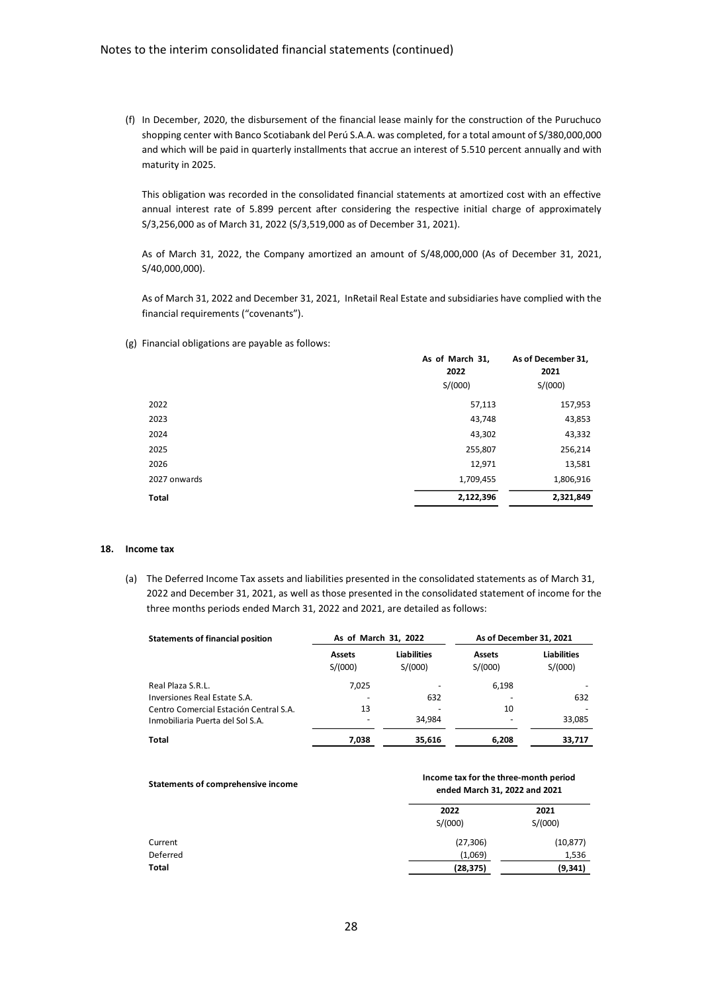(f) In December, 2020, the disbursement of the financial lease mainly for the construction of the Puruchuco shopping center with Banco Scotiabank del Perú S.A.A. was completed, for a total amount of S/380,000,000 and which will be paid in quarterly installments that accrue an interest of 5.510 percent annually and with maturity in 2025.

This obligation was recorded in the consolidated financial statements at amortized cost with an effective annual interest rate of 5.899 percent after considering the respective initial charge of approximately S/3,256,000 as of March 31, 2022 (S/3,519,000 as of December 31, 2021).

As of March 31, 2022, the Company amortized an amount of S/48,000,000 (As of December 31, 2021, S/40,000,000).

As of March 31, 2022 and December 31, 2021, InRetail Real Estate and subsidiaries have complied with the financial requirements ("covenants").

(g) Financial obligations are payable as follows:

|              | As of March 31,<br>2022 | As of December 31,<br>2021 |  |
|--------------|-------------------------|----------------------------|--|
|              | S/(000)                 | S/(000)                    |  |
| 2022         | 57,113                  | 157,953                    |  |
| 2023         | 43,748                  | 43,853                     |  |
| 2024         | 43,302                  | 43,332                     |  |
| 2025         | 255,807                 | 256,214                    |  |
| 2026         | 12,971                  | 13,581                     |  |
| 2027 onwards | 1,709,455               | 1,806,916                  |  |
| <b>Total</b> | 2,122,396               | 2,321,849                  |  |

#### **18. Income tax**

(a) The Deferred Income Tax assets and liabilities presented in the consolidated statements as of March 31, 2022 and December 31, 2021, as well as those presented in the consolidated statement of income for the three months periods ended March 31, 2022 and 2021, are detailed as follows:

| <b>Statements of financial position</b> | As of March 31, 2022     |                               | As of December 31, 2021  |                               |
|-----------------------------------------|--------------------------|-------------------------------|--------------------------|-------------------------------|
|                                         | <b>Assets</b><br>S/(000) | <b>Liabilities</b><br>S/(000) | <b>Assets</b><br>S/(000) | <b>Liabilities</b><br>S/(000) |
| Real Plaza S.R.L.                       | 7,025                    |                               | 6,198                    |                               |
| Inversiones Real Estate S.A.            |                          | 632                           |                          | 632                           |
| Centro Comercial Estación Central S.A.  | 13                       |                               | 10                       |                               |
| Inmobiliaria Puerta del Sol S.A.        |                          | 34.984                        |                          | 33,085                        |
| Total                                   | 7,038                    | 35,616                        | 6,208                    | 33,717                        |

| Statements of comprehensive income | Income tax for the three-month period<br>ended March 31, 2022 and 2021 |                 |  |  |
|------------------------------------|------------------------------------------------------------------------|-----------------|--|--|
|                                    | 2022<br>S/(000)                                                        | 2021<br>S/(000) |  |  |
| Current                            | (27, 306)                                                              | (10, 877)       |  |  |
| Deferred                           | (1,069)                                                                | 1,536           |  |  |
| Total                              | (28, 375)                                                              | (9, 341)        |  |  |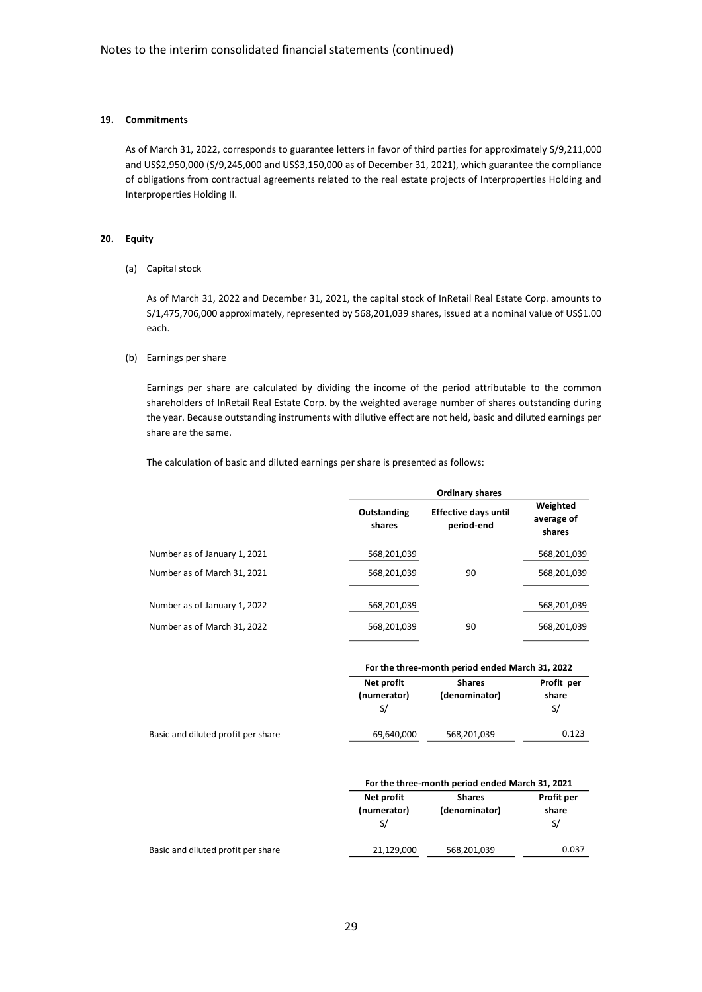## **19. Commitments**

As of March 31, 2022, corresponds to guarantee letters in favor of third parties for approximately S/9,211,000 and US\$2,950,000 (S/9,245,000 and US\$3,150,000 as of December 31, 2021), which guarantee the compliance of obligations from contractual agreements related to the real estate projects of Interproperties Holding and Interproperties Holding II.

#### **20. Equity**

(a) Capital stock

As of March 31, 2022 and December 31, 2021, the capital stock of InRetail Real Estate Corp. amounts to S/1,475,706,000 approximately, represented by 568,201,039 shares, issued at a nominal value of US\$1.00 each.

## (b) Earnings per share

Earnings per share are calculated by dividing the income of the period attributable to the common shareholders of InRetail Real Estate Corp. by the weighted average number of shares outstanding during the year. Because outstanding instruments with dilutive effect are not held, basic and diluted earnings per share are the same.

The calculation of basic and diluted earnings per share is presented as follows:

|                                                             |                                 | <b>Ordinary shares</b>                          |                                  |
|-------------------------------------------------------------|---------------------------------|-------------------------------------------------|----------------------------------|
|                                                             | Outstanding<br>shares           | <b>Effective days until</b><br>period-end       | Weighted<br>average of<br>shares |
| Number as of January 1, 2021                                | 568,201,039                     |                                                 | 568,201,039                      |
| Number as of March 31, 2021                                 | 568,201,039                     | 90                                              | 568,201,039                      |
| Number as of January 1, 2022<br>Number as of March 31, 2022 | 568,201,039<br>568,201,039      | 90                                              | 568,201,039<br>568,201,039       |
|                                                             |                                 | For the three-month period ended March 31, 2022 |                                  |
|                                                             | Net profit<br>(numerator)<br>S/ | <b>Shares</b><br>(denominator)                  | Profit per<br>share<br>S/        |
| Basic and diluted profit per share                          | 69,640,000                      | 568,201,039                                     | 0.123                            |

|                                    | For the three-month period ended March 31, 2021 |                                |                            |  |
|------------------------------------|-------------------------------------------------|--------------------------------|----------------------------|--|
|                                    | Net profit<br>(numerator)                       | <b>Shares</b><br>(denominator) | <b>Profit per</b><br>share |  |
|                                    |                                                 |                                | S/                         |  |
| Basic and diluted profit per share | 21,129,000                                      | 568,201,039                    | 0.037                      |  |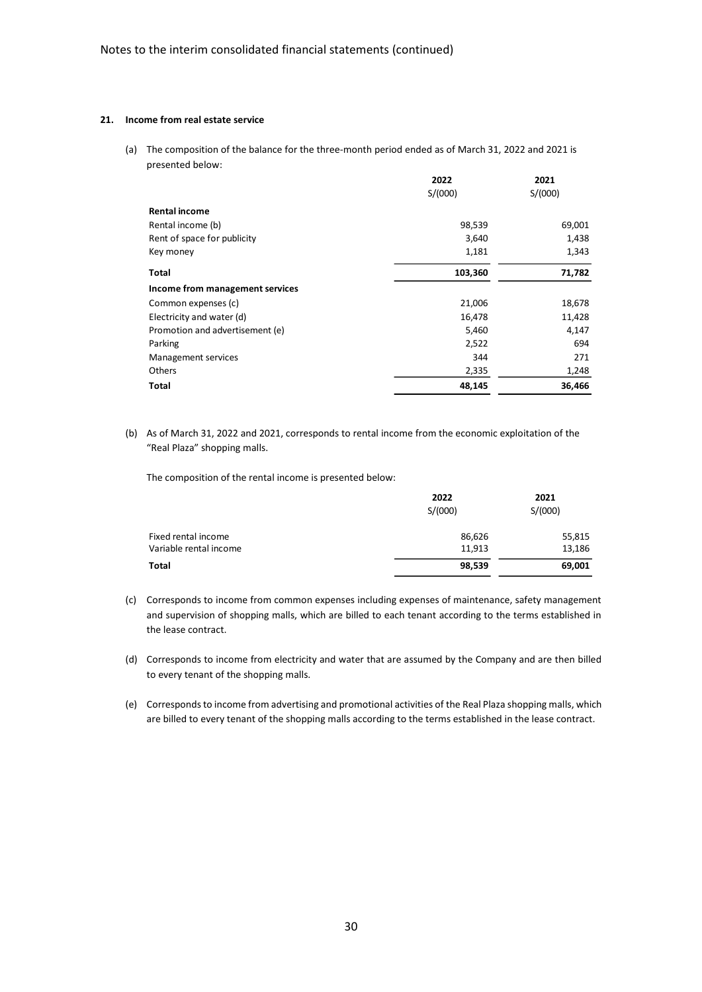## **21. Income from real estate service**

(a) The composition of the balance for the three-month period ended as of March 31, 2022 and 2021 is presented below:

|                                 | 2022    | 2021    |
|---------------------------------|---------|---------|
|                                 | S/(000) | S/(000) |
| <b>Rental income</b>            |         |         |
| Rental income (b)               | 98,539  | 69,001  |
| Rent of space for publicity     | 3,640   | 1,438   |
| Key money                       | 1,181   | 1,343   |
| Total                           | 103,360 | 71,782  |
| Income from management services |         |         |
| Common expenses (c)             | 21,006  | 18,678  |
| Electricity and water (d)       | 16,478  | 11,428  |
| Promotion and advertisement (e) | 5,460   | 4,147   |
| Parking                         | 2,522   | 694     |
| Management services             | 344     | 271     |
| <b>Others</b>                   | 2,335   | 1,248   |
| <b>Total</b>                    | 48,145  | 36,466  |

(b) As of March 31, 2022 and 2021, corresponds to rental income from the economic exploitation of the "Real Plaza" shopping malls.

The composition of the rental income is presented below:

|                        | 2022<br>S/(000) | 2021<br>S/(000) |
|------------------------|-----------------|-----------------|
|                        |                 |                 |
| Fixed rental income    | 86,626          | 55,815          |
| Variable rental income | 11,913          | 13,186          |
| <b>Total</b>           | 98,539          | 69,001          |

(c) Corresponds to income from common expenses including expenses of maintenance, safety management and supervision of shopping malls, which are billed to each tenant according to the terms established in the lease contract.

- (d) Corresponds to income from electricity and water that are assumed by the Company and are then billed to every tenant of the shopping malls.
- (e) Corresponds to income from advertising and promotional activities of the Real Plaza shopping malls, which are billed to every tenant of the shopping malls according to the terms established in the lease contract.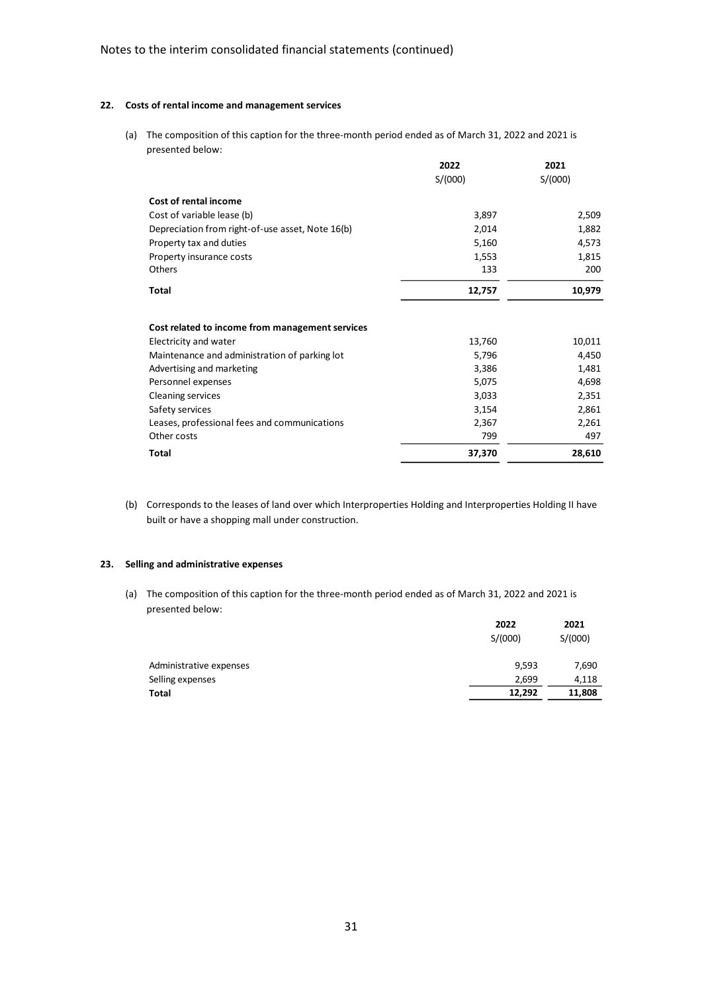## **22. Costs of rental income and management services**

(a) The composition of this caption for the three-month period ended as of March 31, 2022 and 2021 is presented below:

|                                                  | 2022    | 2021    |
|--------------------------------------------------|---------|---------|
|                                                  | S/(000) | S/(000) |
| Cost of rental income                            |         |         |
| Cost of variable lease (b)                       | 3,897   | 2,509   |
| Depreciation from right-of-use asset, Note 16(b) | 2,014   | 1,882   |
| Property tax and duties                          | 5,160   | 4,573   |
| Property insurance costs                         | 1,553   | 1,815   |
| Others                                           | 133     | 200     |
| Total                                            | 12,757  | 10,979  |
| Cost related to income from management services  |         |         |
| Electricity and water                            | 13,760  | 10,011  |
| Maintenance and administration of parking lot    | 5,796   | 4,450   |
| Advertising and marketing                        | 3,386   | 1,481   |
| Personnel expenses                               | 5,075   | 4,698   |
| <b>Cleaning services</b>                         | 3,033   | 2,351   |
| Safety services                                  | 3,154   | 2,861   |
| Leases, professional fees and communications     | 2,367   | 2,261   |
| Other costs                                      | 799     | 497     |
| <b>Total</b>                                     | 37,370  | 28,610  |

(b) Corresponds to the leases of land over which Interproperties Holding and Interproperties Holding II have built or have a shopping mall under construction.

## **23. Selling and administrative expenses**

(a) The composition of this caption for the three-month period ended as of March 31, 2022 and 2021 is presented below:

|                         | 2022<br>S/(000) | 2021<br>S/(000) |
|-------------------------|-----------------|-----------------|
| Administrative expenses | 9,593           | 7,690           |
| Selling expenses        | 2,699           | 4,118           |
| Total                   | 12,292          | 11,808          |
|                         |                 |                 |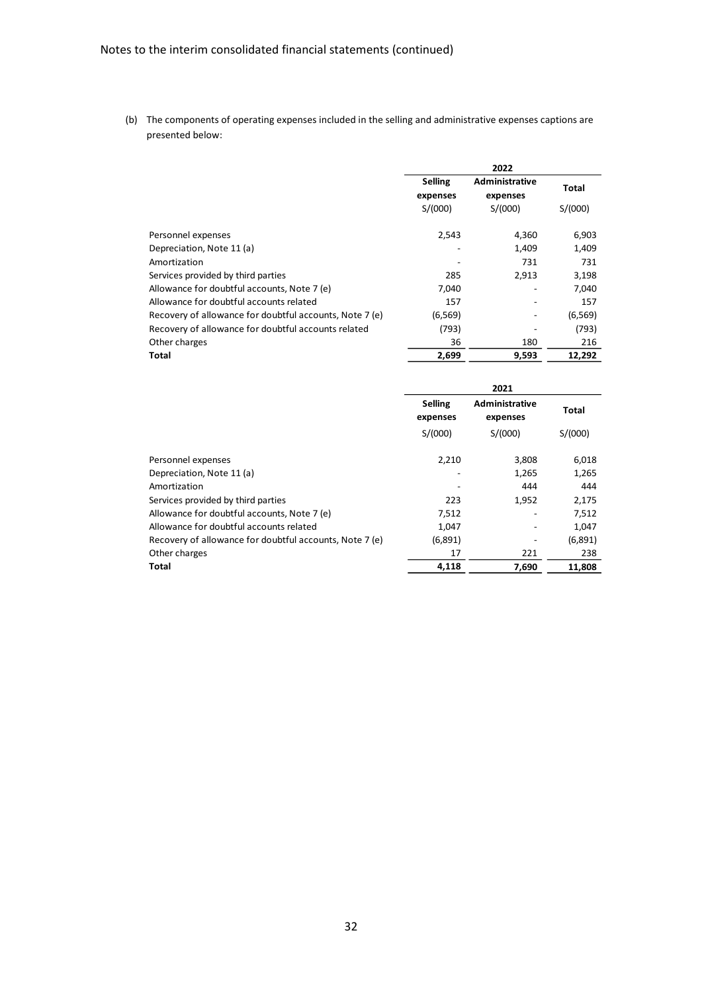(b) The components of operating expenses included in the selling and administrative expenses captions are presented below:

|                                                         |                            | 2022                              |          |
|---------------------------------------------------------|----------------------------|-----------------------------------|----------|
|                                                         | <b>Selling</b><br>expenses | <b>Administrative</b><br>expenses | Total    |
|                                                         | S/(000)                    | S/(000)                           | S/(000)  |
| Personnel expenses                                      | 2,543                      | 4,360                             | 6,903    |
| Depreciation, Note 11 (a)                               |                            | 1.409                             | 1,409    |
| Amortization                                            |                            | 731                               | 731      |
| Services provided by third parties                      | 285                        | 2.913                             | 3,198    |
| Allowance for doubtful accounts, Note 7 (e)             | 7,040                      |                                   | 7,040    |
| Allowance for doubtful accounts related                 | 157                        |                                   | 157      |
| Recovery of allowance for doubtful accounts, Note 7 (e) | (6, 569)                   |                                   | (6, 569) |
| Recovery of allowance for doubtful accounts related     | (793)                      |                                   | (793)    |
| Other charges                                           | 36                         | 180                               | 216      |
| Total                                                   | 2,699                      | 9,593                             | 12,292   |

|                                                         | 2021                       |                                   |              |
|---------------------------------------------------------|----------------------------|-----------------------------------|--------------|
|                                                         | <b>Selling</b><br>expenses | <b>Administrative</b><br>expenses | <b>Total</b> |
|                                                         | S/(000)                    | S/(000)                           | S/(000)      |
| Personnel expenses                                      | 2,210                      | 3,808                             | 6,018        |
| Depreciation, Note 11 (a)                               |                            | 1,265                             | 1,265        |
| Amortization                                            |                            | 444                               | 444          |
| Services provided by third parties                      | 223                        | 1,952                             | 2,175        |
| Allowance for doubtful accounts, Note 7 (e)             | 7,512                      |                                   | 7,512        |
| Allowance for doubtful accounts related                 | 1,047                      |                                   | 1,047        |
| Recovery of allowance for doubtful accounts, Note 7 (e) | (6,891)                    | -                                 | (6,891)      |
| Other charges                                           | 17                         | 221                               | 238          |
| <b>Total</b>                                            | 4,118                      | 7,690                             | 11,808       |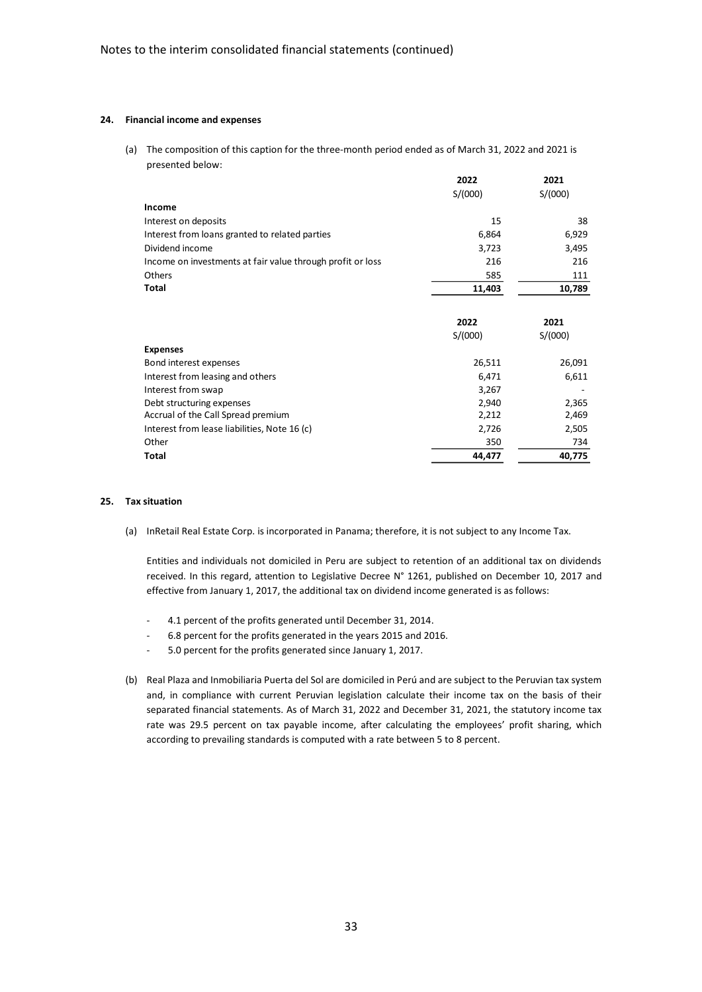#### **24. Financial income and expenses**

(a) The composition of this caption for the three-month period ended as of March 31, 2022 and 2021 is presented below:

|                                                            | 2022    | 2021    |
|------------------------------------------------------------|---------|---------|
|                                                            | S/(000) | S/(000) |
| Income                                                     |         |         |
| Interest on deposits                                       | 15      | 38      |
| Interest from loans granted to related parties             | 6,864   | 6,929   |
| Dividend income                                            | 3,723   | 3,495   |
| Income on investments at fair value through profit or loss | 216     | 216     |
| Others                                                     | 585     | 111     |
| <b>Total</b>                                               | 11,403  | 10,789  |
|                                                            |         |         |
|                                                            | 2022    | 2021    |
|                                                            | S/(000) | S/(000) |
| <b>Expenses</b>                                            |         |         |
| Bond interest expenses                                     | 26,511  | 26,091  |
| Interest from leasing and others                           | 6,471   | 6,611   |
| Interest from swap                                         | 3,267   |         |
| Debt structuring expenses                                  | 2,940   | 2,365   |
| Accrual of the Call Spread premium                         | 2,212   | 2,469   |
| Interest from lease liabilities, Note 16 (c)               | 2,726   | 2,505   |
| Other                                                      | 350     | 734     |
| <b>Total</b>                                               | 44,477  | 40,775  |

#### **25. Tax situation**

(a) InRetail Real Estate Corp. is incorporated in Panama; therefore, it is not subject to any Income Tax.

Entities and individuals not domiciled in Peru are subject to retention of an additional tax on dividends received. In this regard, attention to Legislative Decree N° 1261, published on December 10, 2017 and effective from January 1, 2017, the additional tax on dividend income generated is as follows:

- 4.1 percent of the profits generated until December 31, 2014.
- 6.8 percent for the profits generated in the years 2015 and 2016.
- 5.0 percent for the profits generated since January 1, 2017.
- (b) Real Plaza and Inmobiliaria Puerta del Sol are domiciled in Perú and are subject to the Peruvian tax system and, in compliance with current Peruvian legislation calculate their income tax on the basis of their separated financial statements. As of March 31, 2022 and December 31, 2021, the statutory income tax rate was 29.5 percent on tax payable income, after calculating the employees' profit sharing, which according to prevailing standards is computed with a rate between 5 to 8 percent.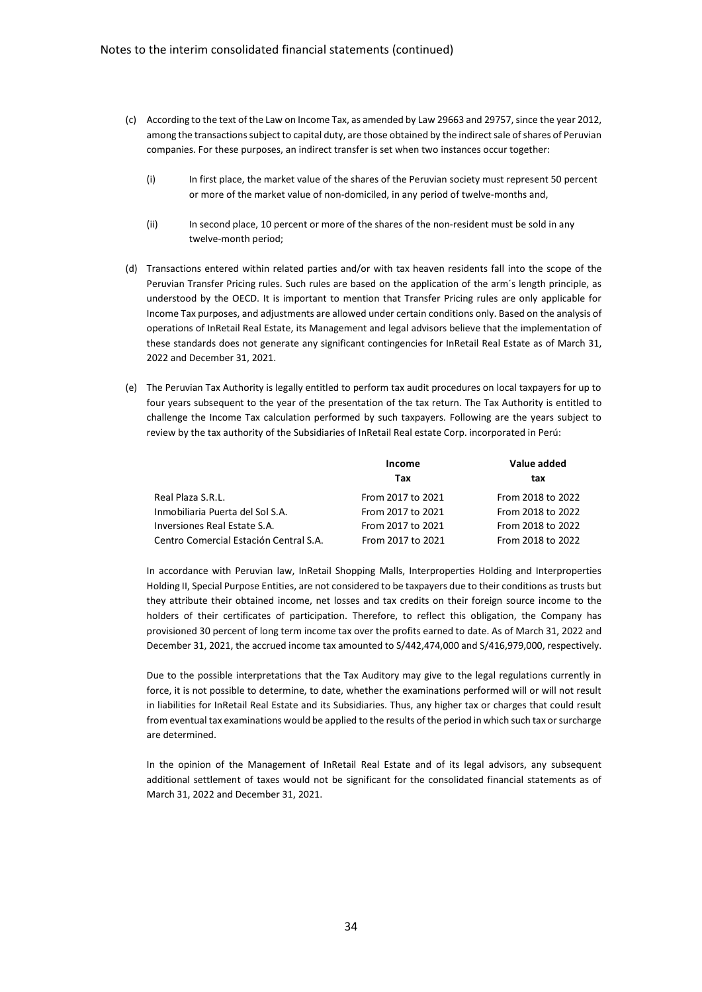- (c) According to the text of the Law on Income Tax, as amended by Law 29663 and 29757, since the year 2012, among the transactions subject to capital duty, are those obtained by the indirect sale of shares of Peruvian companies. For these purposes, an indirect transfer is set when two instances occur together:
	- (i) In first place, the market value of the shares of the Peruvian society must represent 50 percent or more of the market value of non-domiciled, in any period of twelve-months and,
	- (ii) In second place, 10 percent or more of the shares of the non-resident must be sold in any twelve-month period;
- (d) Transactions entered within related parties and/or with tax heaven residents fall into the scope of the Peruvian Transfer Pricing rules. Such rules are based on the application of the arm's length principle, as understood by the OECD. It is important to mention that Transfer Pricing rules are only applicable for Income Tax purposes, and adjustments are allowed under certain conditions only. Based on the analysis of operations of InRetail Real Estate, its Management and legal advisors believe that the implementation of these standards does not generate any significant contingencies for InRetail Real Estate as of March 31, 2022 and December 31, 2021.
- (e) The Peruvian Tax Authority is legally entitled to perform tax audit procedures on local taxpayers for up to four years subsequent to the year of the presentation of the tax return. The Tax Authority is entitled to challenge the Income Tax calculation performed by such taxpayers. Following are the years subject to review by the tax authority of the Subsidiaries of InRetail Real estate Corp. incorporated in Perú:

|                                        | Income            | Value added       |  |
|----------------------------------------|-------------------|-------------------|--|
|                                        | Tax               | tax               |  |
| Real Plaza S.R.L.                      | From 2017 to 2021 | From 2018 to 2022 |  |
| Inmobiliaria Puerta del Sol S.A.       | From 2017 to 2021 | From 2018 to 2022 |  |
| Inversiones Real Estate S.A.           | From 2017 to 2021 | From 2018 to 2022 |  |
| Centro Comercial Estación Central S.A. | From 2017 to 2021 | From 2018 to 2022 |  |

In accordance with Peruvian law, InRetail Shopping Malls, Interproperties Holding and Interproperties Holding II, Special Purpose Entities, are not considered to be taxpayers due to their conditions as trusts but they attribute their obtained income, net losses and tax credits on their foreign source income to the holders of their certificates of participation. Therefore, to reflect this obligation, the Company has provisioned 30 percent of long term income tax over the profits earned to date. As of March 31, 2022 and December 31, 2021, the accrued income tax amounted to S/442,474,000 and S/416,979,000, respectively.

Due to the possible interpretations that the Tax Auditory may give to the legal regulations currently in force, it is not possible to determine, to date, whether the examinations performed will or will not result in liabilities for InRetail Real Estate and its Subsidiaries. Thus, any higher tax or charges that could result from eventual tax examinations would be applied to the results of the period in which such tax or surcharge are determined.

In the opinion of the Management of InRetail Real Estate and of its legal advisors, any subsequent additional settlement of taxes would not be significant for the consolidated financial statements as of March 31, 2022 and December 31, 2021.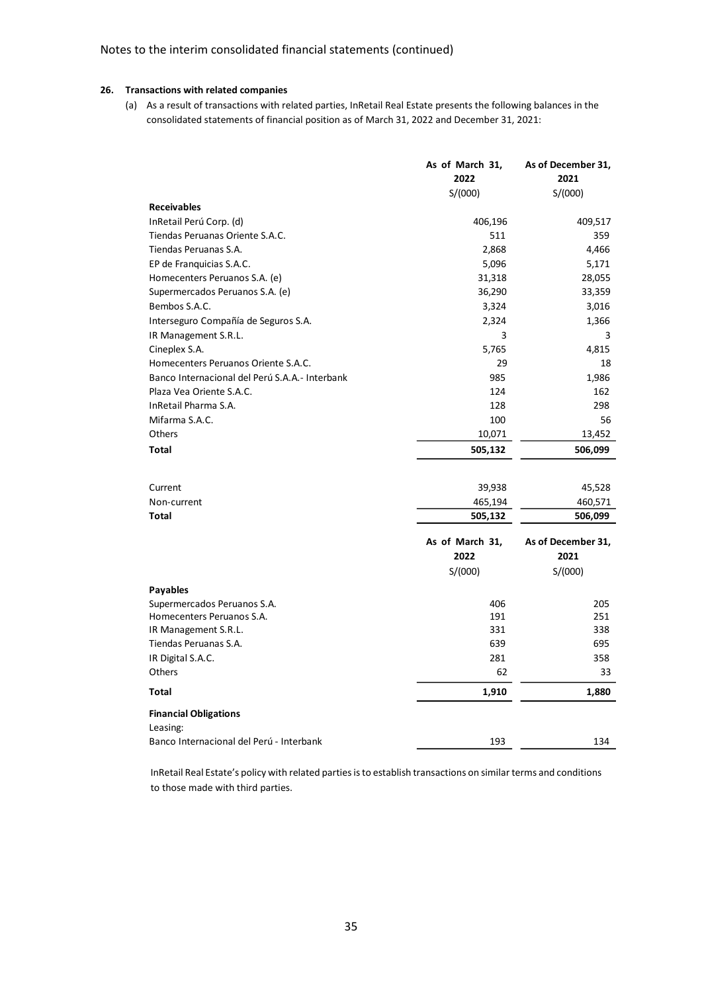# **26. Transactions with related companies**

(a) As a result of transactions with related parties, InRetail Real Estate presents the following balances in the consolidated statements of financial position as of March 31, 2022 and December 31, 2021:

|                                                | As of March 31,<br>2022 | As of December 31,<br>2021 |
|------------------------------------------------|-------------------------|----------------------------|
| <b>Receivables</b>                             | S/(000)                 | S/(000)                    |
| InRetail Perú Corp. (d)                        | 406,196                 | 409,517                    |
| Tiendas Peruanas Oriente S.A.C.                | 511                     | 359                        |
| Tiendas Peruanas S.A.                          | 2,868                   | 4,466                      |
| EP de Franquicias S.A.C.                       | 5,096                   | 5,171                      |
| Homecenters Peruanos S.A. (e)                  | 31,318                  | 28,055                     |
| Supermercados Peruanos S.A. (e)                | 36,290                  | 33,359                     |
| Bembos S.A.C.                                  | 3,324                   | 3,016                      |
|                                                | 2,324                   | 1,366                      |
| Interseguro Compañía de Seguros S.A.           | 3                       | 3                          |
| IR Management S.R.L.<br>Cineplex S.A.          | 5,765                   | 4,815                      |
| Homecenters Peruanos Oriente S.A.C.            | 29                      | 18                         |
| Banco Internacional del Perú S.A.A.- Interbank | 985                     | 1,986                      |
| Plaza Vea Oriente S.A.C.                       | 124                     | 162                        |
| InRetail Pharma S.A.                           | 128                     | 298                        |
| Mifarma S.A.C.                                 | 100                     | 56                         |
| Others                                         | 10,071                  | 13,452                     |
|                                                |                         |                            |
| <b>Total</b>                                   | 505,132                 | 506,099                    |
| Current                                        | 39,938                  | 45,528                     |
| Non-current                                    | 465,194                 | 460,571                    |
| Total                                          | 505,132                 | 506,099                    |
|                                                | As of March 31,<br>2022 | As of December 31,<br>2021 |
|                                                | S/(000)                 | S/(000)                    |
| <b>Payables</b>                                |                         |                            |
| Supermercados Peruanos S.A.                    | 406                     | 205                        |
| Homecenters Peruanos S.A.                      | 191                     | 251                        |
| IR Management S.R.L.                           | 331                     | 338                        |
| Tiendas Peruanas S.A.                          | 639                     | 695                        |
| IR Digital S.A.C.                              | 281                     | 358                        |
| Others                                         | 62                      | 33                         |
| <b>Total</b>                                   | 1,910                   | 1,880                      |
| <b>Financial Obligations</b>                   |                         |                            |
| Leasing:                                       |                         |                            |
| Banco Internacional del Perú - Interbank       | 193                     | 134                        |

InRetail Real Estate's policy with related parties is to establish transactions on similar terms and conditions to those made with third parties.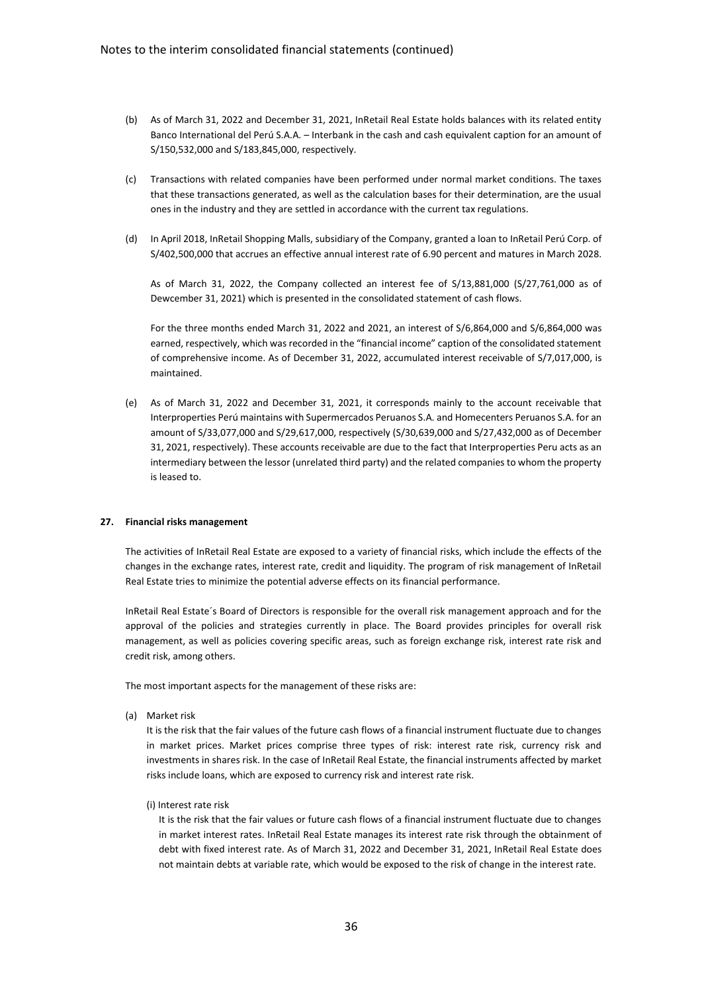- (b) As of March 31, 2022 and December 31, 2021, InRetail Real Estate holds balances with its related entity Banco International del Perú S.A.A. – Interbank in the cash and cash equivalent caption for an amount of S/150,532,000 and S/183,845,000, respectively.
- (c) Transactions with related companies have been performed under normal market conditions. The taxes that these transactions generated, as well as the calculation bases for their determination, are the usual ones in the industry and they are settled in accordance with the current tax regulations.
- (d) In April 2018, InRetail Shopping Malls, subsidiary of the Company, granted a loan to InRetail Perú Corp. of S/402,500,000 that accrues an effective annual interest rate of 6.90 percent and matures in March 2028.

As of March 31, 2022, the Company collected an interest fee of S/13,881,000 (S/27,761,000 as of Dewcember 31, 2021) which is presented in the consolidated statement of cash flows.

For the three months ended March 31, 2022 and 2021, an interest of S/6,864,000 and S/6,864,000 was earned, respectively, which was recorded in the "financial income" caption of the consolidated statement of comprehensive income. As of December 31, 2022, accumulated interest receivable of S/7,017,000, is maintained.

(e) As of March 31, 2022 and December 31, 2021, it corresponds mainly to the account receivable that Interproperties Perú maintains with Supermercados Peruanos S.A. and Homecenters Peruanos S.A. for an amount of S/33,077,000 and S/29,617,000, respectively (S/30,639,000 and S/27,432,000 as of December 31, 2021, respectively). These accounts receivable are due to the fact that Interproperties Peru acts as an intermediary between the lessor (unrelated third party) and the related companies to whom the property is leased to.

## **27. Financial risks management**

The activities of InRetail Real Estate are exposed to a variety of financial risks, which include the effects of the changes in the exchange rates, interest rate, credit and liquidity. The program of risk management of InRetail Real Estate tries to minimize the potential adverse effects on its financial performance.

InRetail Real Estate´s Board of Directors is responsible for the overall risk management approach and for the approval of the policies and strategies currently in place. The Board provides principles for overall risk management, as well as policies covering specific areas, such as foreign exchange risk, interest rate risk and credit risk, among others.

The most important aspects for the management of these risks are:

(a) Market risk

It is the risk that the fair values of the future cash flows of a financial instrument fluctuate due to changes in market prices. Market prices comprise three types of risk: interest rate risk, currency risk and investments in shares risk. In the case of InRetail Real Estate, the financial instruments affected by market risks include loans, which are exposed to currency risk and interest rate risk.

(i) Interest rate risk

It is the risk that the fair values or future cash flows of a financial instrument fluctuate due to changes in market interest rates. InRetail Real Estate manages its interest rate risk through the obtainment of debt with fixed interest rate. As of March 31, 2022 and December 31, 2021, InRetail Real Estate does not maintain debts at variable rate, which would be exposed to the risk of change in the interest rate.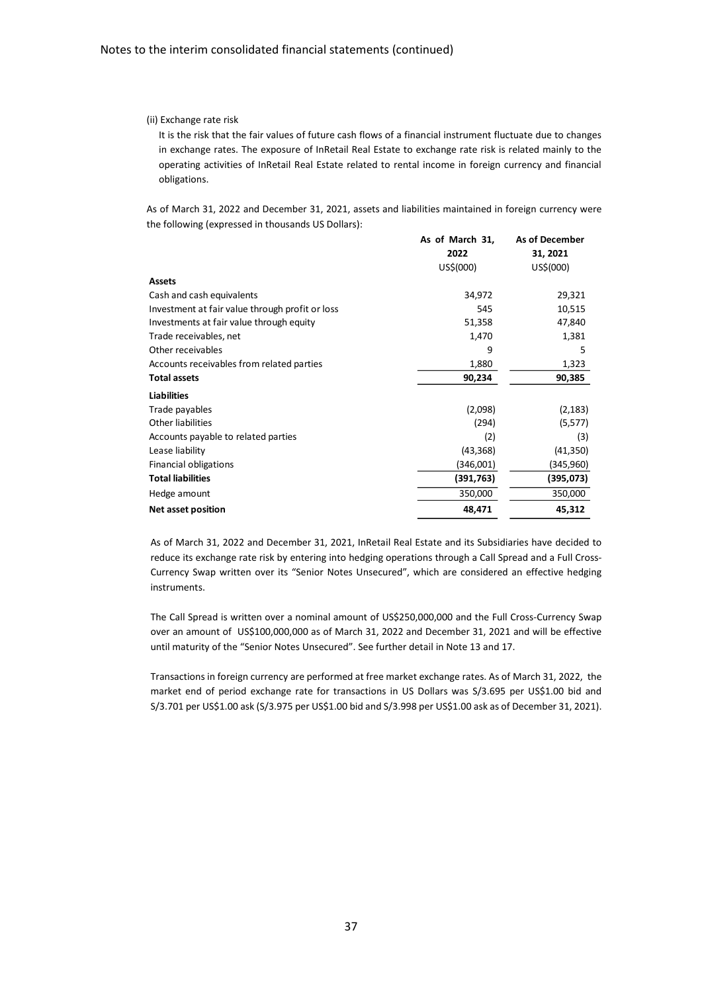## (ii) Exchange rate risk

It is the risk that the fair values of future cash flows of a financial instrument fluctuate due to changes in exchange rates. The exposure of InRetail Real Estate to exchange rate risk is related mainly to the operating activities of InRetail Real Estate related to rental income in foreign currency and financial obligations.

As of March 31, 2022 and December 31, 2021, assets and liabilities maintained in foreign currency were the following (expressed in thousands US Dollars):

|                                                 | As of March 31,<br>2022<br>US\$(000) | <b>As of December</b><br>31, 2021<br>US\$(000) |
|-------------------------------------------------|--------------------------------------|------------------------------------------------|
| <b>Assets</b>                                   |                                      |                                                |
| Cash and cash equivalents                       | 34,972                               | 29,321                                         |
| Investment at fair value through profit or loss | 545                                  | 10,515                                         |
| Investments at fair value through equity        | 51,358                               | 47,840                                         |
| Trade receivables, net                          | 1,470                                | 1,381                                          |
| Other receivables                               | 9                                    | 5                                              |
| Accounts receivables from related parties       | 1,880                                | 1,323                                          |
| <b>Total assets</b>                             | 90,234                               | 90,385                                         |
| <b>Liabilities</b>                              |                                      |                                                |
| Trade payables                                  | (2,098)                              | (2, 183)                                       |
| Other liabilities                               | (294)                                | (5, 577)                                       |
| Accounts payable to related parties             | (2)                                  | (3)                                            |
| Lease liability                                 | (43, 368)                            | (41, 350)                                      |
| Financial obligations                           | (346,001)                            | (345,960)                                      |
| <b>Total liabilities</b>                        | (391,763)                            | (395,073)                                      |
| Hedge amount                                    | 350,000                              | 350,000                                        |
| Net asset position                              | 48,471                               | 45,312                                         |

As of March 31, 2022 and December 31, 2021, InRetail Real Estate and its Subsidiaries have decided to reduce its exchange rate risk by entering into hedging operations through a Call Spread and a Full Cross-Currency Swap written over its "Senior Notes Unsecured", which are considered an effective hedging instruments.

The Call Spread is written over a nominal amount of US\$250,000,000 and the Full Cross-Currency Swap over an amount of US\$100,000,000 as of March 31, 2022 and December 31, 2021 and will be effective until maturity of the "Senior Notes Unsecured". See further detail in Note 13 and 17.

Transactions in foreign currency are performed at free market exchange rates. As of March 31, 2022, the market end of period exchange rate for transactions in US Dollars was S/3.695 per US\$1.00 bid and S/3.701 per US\$1.00 ask (S/3.975 per US\$1.00 bid and S/3.998 per US\$1.00 ask as of December 31, 2021).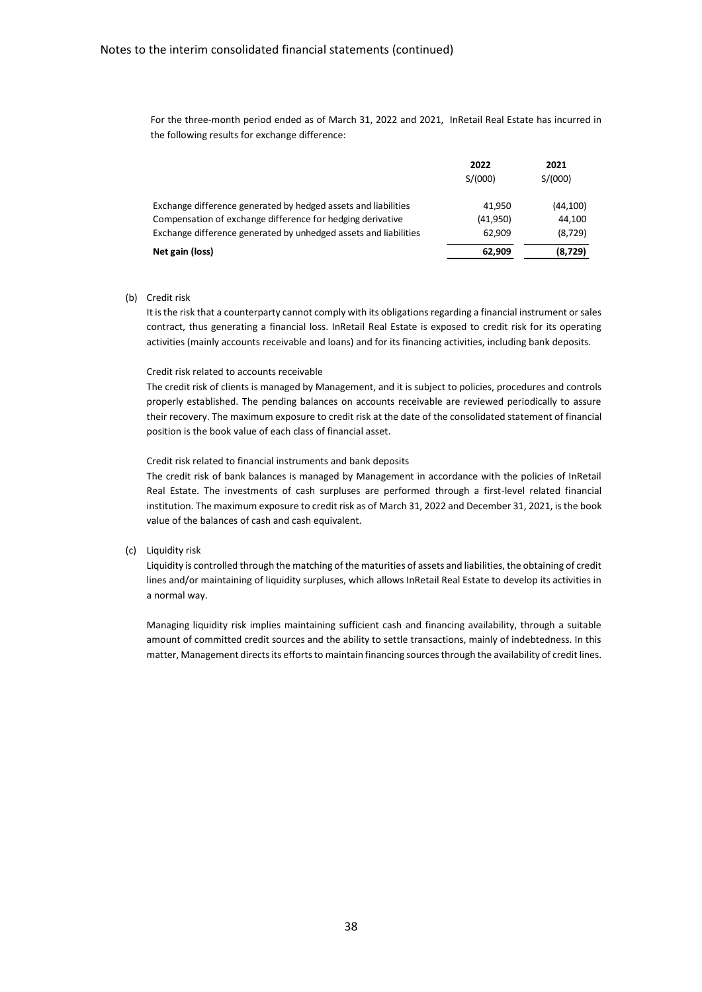For the three-month period ended as of March 31, 2022 and 2021, InRetail Real Estate has incurred in the following results for exchange difference:

|                                                                  | 2022<br>S/(000) | 2021<br>S/(000) |
|------------------------------------------------------------------|-----------------|-----------------|
| Exchange difference generated by hedged assets and liabilities   | 41.950          | (44, 100)       |
| Compensation of exchange difference for hedging derivative       | (41,950)        | 44.100          |
| Exchange difference generated by unhedged assets and liabilities | 62,909          | (8,729)         |
| Net gain (loss)                                                  | 62,909          | (8, 729)        |

(b) Credit risk

It is the risk that a counterparty cannot comply with its obligations regarding a financial instrument or sales contract, thus generating a financial loss. InRetail Real Estate is exposed to credit risk for its operating activities (mainly accounts receivable and loans) and for its financing activities, including bank deposits.

#### Credit risk related to accounts receivable

The credit risk of clients is managed by Management, and it is subject to policies, procedures and controls properly established. The pending balances on accounts receivable are reviewed periodically to assure their recovery. The maximum exposure to credit risk at the date of the consolidated statement of financial position is the book value of each class of financial asset.

Credit risk related to financial instruments and bank deposits

The credit risk of bank balances is managed by Management in accordance with the policies of InRetail Real Estate. The investments of cash surpluses are performed through a first-level related financial institution. The maximum exposure to credit risk as of March 31, 2022 and December 31, 2021, is the book value of the balances of cash and cash equivalent.

#### (c) Liquidity risk

Liquidity is controlled through the matching of the maturities of assets and liabilities, the obtaining of credit lines and/or maintaining of liquidity surpluses, which allows InRetail Real Estate to develop its activities in a normal way.

Managing liquidity risk implies maintaining sufficient cash and financing availability, through a suitable amount of committed credit sources and the ability to settle transactions, mainly of indebtedness. In this matter, Management directs its efforts to maintain financing sources through the availability of credit lines.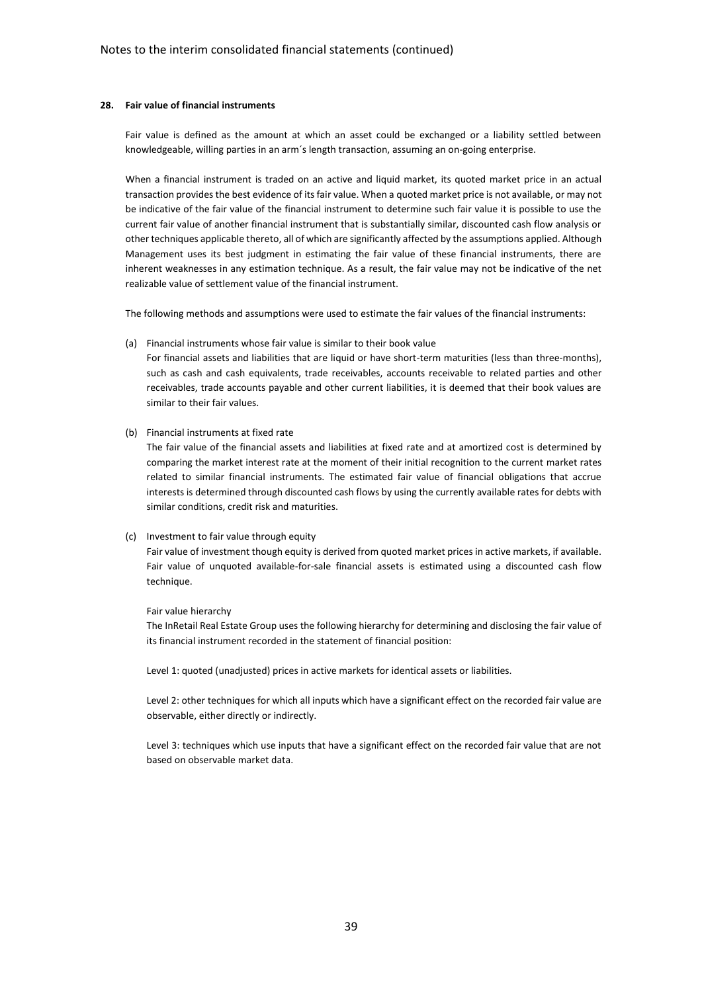#### **28. Fair value of financial instruments**

Fair value is defined as the amount at which an asset could be exchanged or a liability settled between knowledgeable, willing parties in an arm´s length transaction, assuming an on-going enterprise.

When a financial instrument is traded on an active and liquid market, its quoted market price in an actual transaction provides the best evidence of its fair value. When a quoted market price is not available, or may not be indicative of the fair value of the financial instrument to determine such fair value it is possible to use the current fair value of another financial instrument that is substantially similar, discounted cash flow analysis or other techniques applicable thereto, all of which are significantly affected by the assumptions applied. Although Management uses its best judgment in estimating the fair value of these financial instruments, there are inherent weaknesses in any estimation technique. As a result, the fair value may not be indicative of the net realizable value of settlement value of the financial instrument.

The following methods and assumptions were used to estimate the fair values of the financial instruments:

(a) Financial instruments whose fair value is similar to their book value

For financial assets and liabilities that are liquid or have short-term maturities (less than three-months), such as cash and cash equivalents, trade receivables, accounts receivable to related parties and other receivables, trade accounts payable and other current liabilities, it is deemed that their book values are similar to their fair values.

(b) Financial instruments at fixed rate

The fair value of the financial assets and liabilities at fixed rate and at amortized cost is determined by comparing the market interest rate at the moment of their initial recognition to the current market rates related to similar financial instruments. The estimated fair value of financial obligations that accrue interests is determined through discounted cash flows by using the currently available rates for debts with similar conditions, credit risk and maturities.

#### (c) Investment to fair value through equity

Fair value of investment though equity is derived from quoted market prices in active markets, if available. Fair value of unquoted available-for-sale financial assets is estimated using a discounted cash flow technique.

## Fair value hierarchy

The InRetail Real Estate Group uses the following hierarchy for determining and disclosing the fair value of its financial instrument recorded in the statement of financial position:

Level 1: quoted (unadjusted) prices in active markets for identical assets or liabilities.

Level 2: other techniques for which all inputs which have a significant effect on the recorded fair value are observable, either directly or indirectly.

Level 3: techniques which use inputs that have a significant effect on the recorded fair value that are not based on observable market data.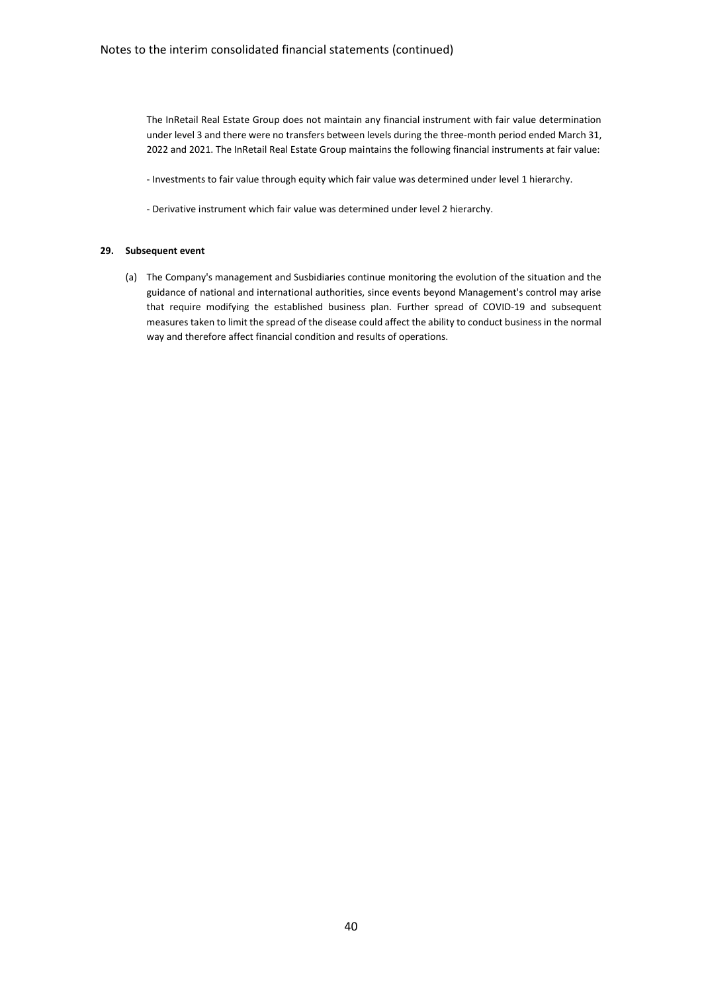The InRetail Real Estate Group does not maintain any financial instrument with fair value determination under level 3 and there were no transfers between levels during the three-month period ended March 31, 2022 and 2021. The InRetail Real Estate Group maintains the following financial instruments at fair value:

- Investments to fair value through equity which fair value was determined under level 1 hierarchy.
- Derivative instrument which fair value was determined under level 2 hierarchy.

## **29. Subsequent event**

(a) The Company's management and Susbidiaries continue monitoring the evolution of the situation and the guidance of national and international authorities, since events beyond Management's control may arise that require modifying the established business plan. Further spread of COVID-19 and subsequent measures taken to limit the spread of the disease could affect the ability to conduct business in the normal way and therefore affect financial condition and results of operations.